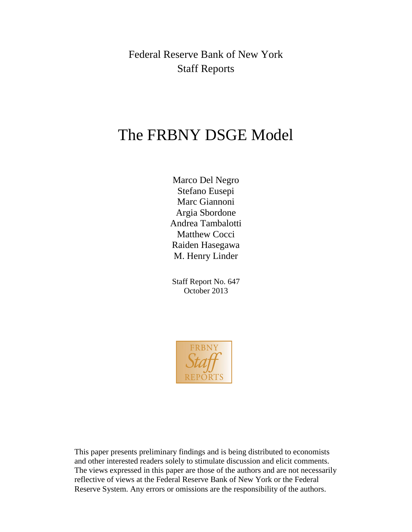Federal Reserve Bank of New York Staff Reports

# The FRBNY DSGE Model

Marco Del Negro Stefano Eusepi Marc Giannoni Argia Sbordone Andrea Tambalotti Matthew Cocci Raiden Hasegawa M. Henry Linder

Staff Report No. 647 October 2013



This paper presents preliminary findings and is being distributed to economists and other interested readers solely to stimulate discussion and elicit comments. The views expressed in this paper are those of the authors and are not necessarily reflective of views at the Federal Reserve Bank of New York or the Federal Reserve System. Any errors or omissions are the responsibility of the authors.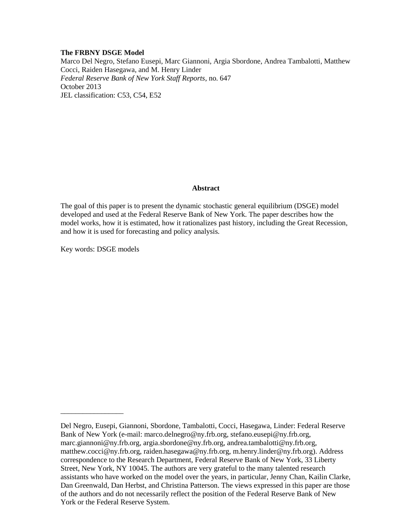#### **The FRBNY DSGE Model**

Marco Del Negro, Stefano Eusepi, Marc Giannoni, Argia Sbordone, Andrea Tambalotti, Matthew Cocci, Raiden Hasegawa, and M. Henry Linder *Federal Reserve Bank of New York Staff Reports*, no. 647 October 2013 JEL classification: C53, C54, E52

#### **Abstract**

The goal of this paper is to present the dynamic stochastic general equilibrium (DSGE) model developed and used at the Federal Reserve Bank of New York. The paper describes how the model works, how it is estimated, how it rationalizes past history, including the Great Recession, and how it is used for forecasting and policy analysis.

Key words: DSGE models

\_\_\_\_\_\_\_\_\_\_\_\_\_\_\_\_\_

Del Negro, Eusepi, Giannoni, Sbordone, Tambalotti, Cocci, Hasegawa, Linder: Federal Reserve Bank of New York (e-mail: marco.delnegro@ny.frb.org, stefano.eusepi@ny.frb.org, marc.giannoni@ny.frb.org, argia.sbordone@ny.frb.org, andrea.tambalotti@ny.frb.org, matthew.cocci@ny.frb.org, raiden.hasegawa@ny.frb.org, m.henry.linder@ny.frb.org). Address correspondence to the Research Department, Federal Reserve Bank of New York, 33 Liberty Street, New York, NY 10045. The authors are very grateful to the many talented research assistants who have worked on the model over the years, in particular, Jenny Chan, Kailin Clarke, Dan Greenwald, Dan Herbst, and Christina Patterson. The views expressed in this paper are those of the authors and do not necessarily reflect the position of the Federal Reserve Bank of New York or the Federal Reserve System.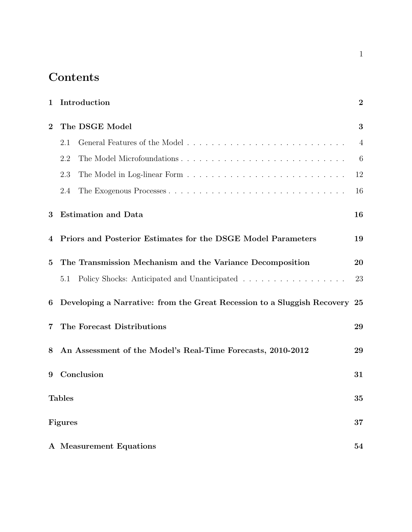## Contents

| 1        | Introduction                                                                                                 | $\boldsymbol{2}$ |  |  |  |  |
|----------|--------------------------------------------------------------------------------------------------------------|------------------|--|--|--|--|
| $\bf{2}$ | The DSGE Model                                                                                               | 3                |  |  |  |  |
|          | 2.1                                                                                                          | $\overline{4}$   |  |  |  |  |
|          | 2.2                                                                                                          | 6                |  |  |  |  |
|          | The Model in Log-linear Form $\ldots \ldots \ldots \ldots \ldots \ldots \ldots \ldots \ldots \ldots$<br>2.3  | 12               |  |  |  |  |
|          | 2.4                                                                                                          | 16               |  |  |  |  |
| 3        | <b>Estimation and Data</b>                                                                                   | 16               |  |  |  |  |
| 4        | Priors and Posterior Estimates for the DSGE Model Parameters                                                 | 19               |  |  |  |  |
| $\bf{5}$ | The Transmission Mechanism and the Variance Decomposition                                                    | 20               |  |  |  |  |
|          | Policy Shocks: Anticipated and Unanticipated $\hfill\ldots\ldots\ldots\ldots\ldots\ldots\ldots\ldots$<br>5.1 | 23               |  |  |  |  |
| 6        | Developing a Narrative: from the Great Recession to a Sluggish Recovery 25                                   |                  |  |  |  |  |
| 7        | The Forecast Distributions                                                                                   | 29               |  |  |  |  |
| 8        | An Assessment of the Model's Real-Time Forecasts, 2010-2012                                                  | 29               |  |  |  |  |
| 9        | Conclusion                                                                                                   | 31               |  |  |  |  |
|          | <b>Tables</b>                                                                                                | $35\,$           |  |  |  |  |
|          | Figures<br>37                                                                                                |                  |  |  |  |  |
|          | <b>A</b> Measurement Equations                                                                               | 54               |  |  |  |  |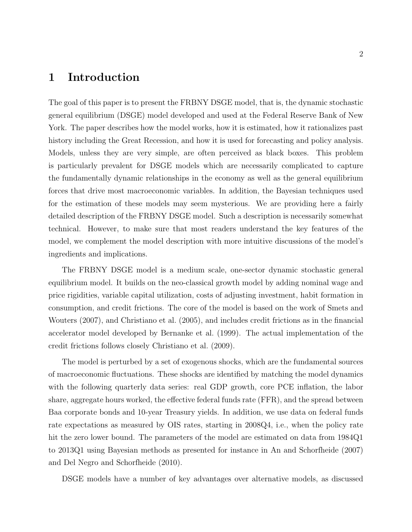## <span id="page-3-0"></span>1 Introduction

The goal of this paper is to present the FRBNY DSGE model, that is, the dynamic stochastic general equilibrium (DSGE) model developed and used at the Federal Reserve Bank of New York. The paper describes how the model works, how it is estimated, how it rationalizes past history including the Great Recession, and how it is used for forecasting and policy analysis. Models, unless they are very simple, are often perceived as black boxes. This problem is particularly prevalent for DSGE models which are necessarily complicated to capture the fundamentally dynamic relationships in the economy as well as the general equilibrium forces that drive most macroeconomic variables. In addition, the Bayesian techniques used for the estimation of these models may seem mysterious. We are providing here a fairly detailed description of the FRBNY DSGE model. Such a description is necessarily somewhat technical. However, to make sure that most readers understand the key features of the model, we complement the model description with more intuitive discussions of the model's ingredients and implications.

The FRBNY DSGE model is a medium scale, one-sector dynamic stochastic general equilibrium model. It builds on the neo-classical growth model by adding nominal wage and price rigidities, variable capital utilization, costs of adjusting investment, habit formation in consumption, and credit frictions. The core of the model is based on the work of [Smets and](#page-36-1) [Wouters](#page-36-1) [\(2007\)](#page-36-1), and [Christiano et al.](#page-34-0) [\(2005\)](#page-34-0), and includes credit frictions as in the financial accelerator model developed by [Bernanke et al.](#page-34-1) [\(1999\)](#page-34-1). The actual implementation of the credit frictions follows closely [Christiano et al.](#page-34-2) [\(2009\)](#page-34-2).

The model is perturbed by a set of exogenous shocks, which are the fundamental sources of macroeconomic fluctuations. These shocks are identified by matching the model dynamics with the following quarterly data series: real GDP growth, core PCE inflation, the labor share, aggregate hours worked, the effective federal funds rate (FFR), and the spread between Baa corporate bonds and 10-year Treasury yields. In addition, we use data on federal funds rate expectations as measured by OIS rates, starting in 2008Q4, i.e., when the policy rate hit the zero lower bound. The parameters of the model are estimated on data from 1984Q1 to 2013Q1 using Bayesian methods as presented for instance in [An and Schorfheide](#page-34-3) [\(2007\)](#page-34-3) and [Del Negro and Schorfheide](#page-35-0) [\(2010\)](#page-35-0).

DSGE models have a number of key advantages over alternative models, as discussed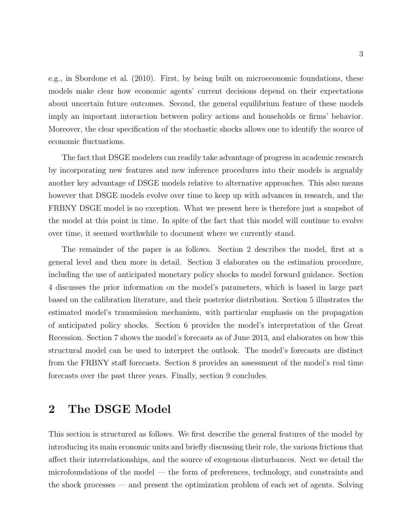e.g., in [Sbordone et al.](#page-35-1) [\(2010\)](#page-35-1). First, by being built on microeconomic foundations, these models make clear how economic agents' current decisions depend on their expectations about uncertain future outcomes. Second, the general equilibrium feature of these models imply an important interaction between policy actions and households or firms' behavior. Moreover, the clear specification of the stochastic shocks allows one to identify the source of economic fluctuations.

The fact that DSGE modelers can readily take advantage of progress in academic research by incorporating new features and new inference procedures into their models is arguably another key advantage of DSGE models relative to alternative approaches. This also means however that DSGE models evolve over time to keep up with advances in research, and the FRBNY DSGE model is no exception. What we present here is therefore just a snapshot of the model at this point in time. In spite of the fact that this model will continue to evolve over time, it seemed worthwhile to document where we currently stand.

The remainder of the paper is as follows. Section [2](#page-4-0) describes the model, first at a general level and then more in detail. Section [3](#page-17-1) elaborates on the estimation procedure, including the use of anticipated monetary policy shocks to model forward guidance. Section [4](#page-20-0) discusses the prior information on the model's parameters, which is based in large part based on the calibration literature, and their posterior distribution. Section [5](#page-21-0) illustrates the estimated model's transmission mechanism, with particular emphasis on the propagation of anticipated policy shocks. Section [6](#page-26-0) provides the model's interpretation of the Great Recession. Section [7](#page-30-0) shows the model's forecasts as of June 2013, and elaborates on how this structural model can be used to interpret the outlook. The model's forecasts are distinct from the FRBNY staff forecasts. Section [8](#page-30-1) provides an assessment of the model's real time forecasts over the past three years. Finally, section [9](#page-32-0) concludes.

## <span id="page-4-0"></span>2 The DSGE Model

This section is structured as follows. We first describe the general features of the model by introducing its main economic units and briefly discussing their role, the various frictions that affect their interrelationships, and the source of exogenous disturbances. Next we detail the microfoundations of the model — the form of preferences, technology, and constraints and the shock processes — and present the optimization problem of each set of agents. Solving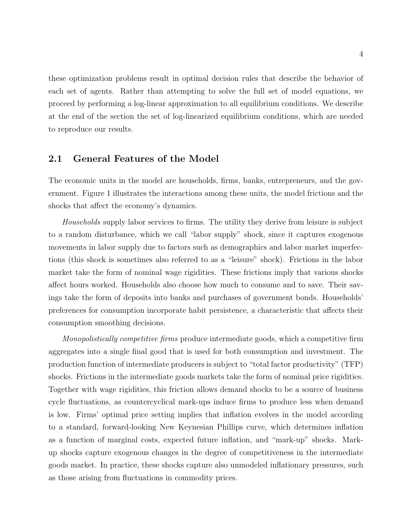these optimization problems result in optimal decision rules that describe the behavior of each set of agents. Rather than attempting to solve the full set of model equations, we proceed by performing a log-linear approximation to all equilibrium conditions. We describe at the end of the section the set of log-linearized equilibrium conditions, which are needed to reproduce our results.

#### <span id="page-5-0"></span>2.1 General Features of the Model

The economic units in the model are households, firms, banks, entrepreneurs, and the government. Figure [1](#page-38-1) illustrates the interactions among these units, the model frictions and the shocks that affect the economy's dynamics.

Households supply labor services to firms. The utility they derive from leisure is subject to a random disturbance, which we call "labor supply" shock, since it captures exogenous movements in labor supply due to factors such as demographics and labor market imperfections (this shock is sometimes also referred to as a "leisure" shock). Frictions in the labor market take the form of nominal wage rigidities. These frictions imply that various shocks affect hours worked. Households also choose how much to consume and to save. Their savings take the form of deposits into banks and purchases of government bonds. Households' preferences for consumption incorporate habit persistence, a characteristic that affects their consumption smoothing decisions.

Monopolistically competitive firms produce intermediate goods, which a competitive firm aggregates into a single final good that is used for both consumption and investment. The production function of intermediate producers is subject to "total factor productivity" (TFP) shocks. Frictions in the intermediate goods markets take the form of nominal price rigidities. Together with wage rigidities, this friction allows demand shocks to be a source of business cycle fluctuations, as countercyclical mark-ups induce firms to produce less when demand is low. Firms' optimal price setting implies that inflation evolves in the model according to a standard, forward-looking New Keynesian Phillips curve, which determines inflation as a function of marginal costs, expected future inflation, and "mark-up" shocks. Markup shocks capture exogenous changes in the degree of competitiveness in the intermediate goods market. In practice, these shocks capture also unmodeled inflationary pressures, such as those arising from fluctuations in commodity prices.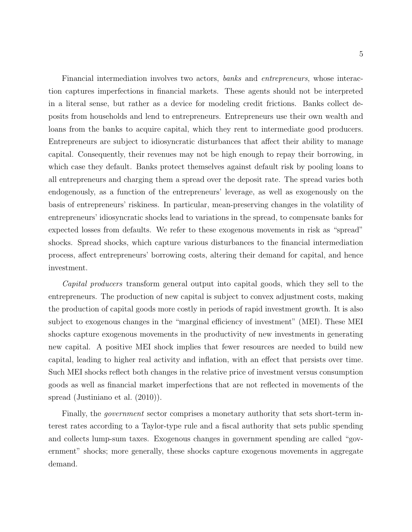Financial intermediation involves two actors, banks and entrepreneurs, whose interaction captures imperfections in financial markets. These agents should not be interpreted in a literal sense, but rather as a device for modeling credit frictions. Banks collect deposits from households and lend to entrepreneurs. Entrepreneurs use their own wealth and loans from the banks to acquire capital, which they rent to intermediate good producers. Entrepreneurs are subject to idiosyncratic disturbances that affect their ability to manage capital. Consequently, their revenues may not be high enough to repay their borrowing, in which case they default. Banks protect themselves against default risk by pooling loans to all entrepreneurs and charging them a spread over the deposit rate. The spread varies both endogenously, as a function of the entrepreneurs' leverage, as well as exogenously on the basis of entrepreneurs' riskiness. In particular, mean-preserving changes in the volatility of entrepreneurs' idiosyncratic shocks lead to variations in the spread, to compensate banks for expected losses from defaults. We refer to these exogenous movements in risk as "spread" shocks. Spread shocks, which capture various disturbances to the financial intermediation process, affect entrepreneurs' borrowing costs, altering their demand for capital, and hence investment.

Capital producers transform general output into capital goods, which they sell to the entrepreneurs. The production of new capital is subject to convex adjustment costs, making the production of capital goods more costly in periods of rapid investment growth. It is also subject to exogenous changes in the "marginal efficiency of investment" (MEI). These MEI shocks capture exogenous movements in the productivity of new investments in generating new capital. A positive MEI shock implies that fewer resources are needed to build new capital, leading to higher real activity and inflation, with an effect that persists over time. Such MEI shocks reflect both changes in the relative price of investment versus consumption goods as well as financial market imperfections that are not reflected in movements of the spread [\(Justiniano et al.](#page-35-2) [\(2010\)](#page-35-2)).

Finally, the *government* sector comprises a monetary authority that sets short-term interest rates according to a Taylor-type rule and a fiscal authority that sets public spending and collects lump-sum taxes. Exogenous changes in government spending are called "government" shocks; more generally, these shocks capture exogenous movements in aggregate demand.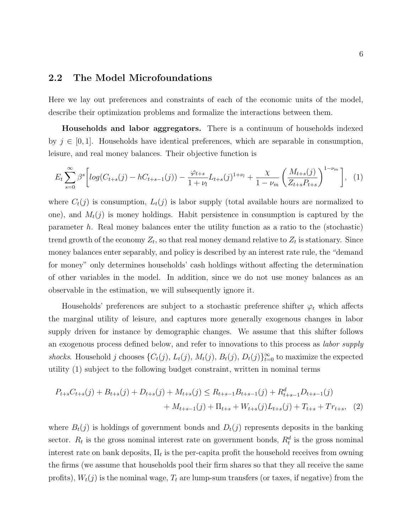### <span id="page-7-0"></span>2.2 The Model Microfoundations

Here we lay out preferences and constraints of each of the economic units of the model, describe their optimization problems and formalize the interactions between them.

Households and labor aggregators. There is a continuum of households indexed by  $j \in [0, 1]$ . Households have identical preferences, which are separable in consumption, leisure, and real money balances. Their objective function is

<span id="page-7-1"></span>
$$
E_t \sum_{s=0}^{\infty} \beta^s \left[ \log(C_{t+s}(j) - hC_{t+s-1}(j)) - \frac{\varphi_{t+s}}{1+\nu_l} L_{t+s}(j)^{1+\nu_l} + \frac{\chi}{1-\nu_m} \left( \frac{M_{t+s}(j)}{Z_{t+s} P_{t+s}} \right)^{1-\nu_m} \right], \tag{1}
$$

where  $C_t(j)$  is consumption,  $L_t(j)$  is labor supply (total available hours are normalized to one), and  $M_t(j)$  is money holdings. Habit persistence in consumption is captured by the parameter h. Real money balances enter the utility function as a ratio to the (stochastic) trend growth of the economy  $Z_t$ , so that real money demand relative to  $Z_t$  is stationary. Since money balances enter separably, and policy is described by an interest rate rule, the "demand for money" only determines households' cash holdings without affecting the determination of other variables in the model. In addition, since we do not use money balances as an observable in the estimation, we will subsequently ignore it.

Households' preferences are subject to a stochastic preference shifter  $\varphi_t$  which affects the marginal utility of leisure, and captures more generally exogenous changes in labor supply driven for instance by demographic changes. We assume that this shifter follows an exogenous process defined below, and refer to innovations to this process as labor supply shocks. Household j chooses  $\{C_t(j), L_t(j), M_t(j), B_t(j), D_t(j)\}_{t=0}^{\infty}$  to maximize the expected utility [\(1\)](#page-7-1) subject to the following budget constraint, written in nominal terms

<span id="page-7-2"></span>
$$
P_{t+s}C_{t+s}(j) + B_{t+s}(j) + D_{t+s}(j) + M_{t+s}(j) \le R_{t+s-1}B_{t+s-1}(j) + R_{t+s-1}^d D_{t+s-1}(j) + M_{t+s-1}(j) + \Pi_{t+s} + W_{t+s}(j)L_{t+s}(j) + T_{t+s} + Tr_{t+s}.
$$
 (2)

where  $B_t(j)$  is holdings of government bonds and  $D_t(j)$  represents deposits in the banking sector.  $R_t$  is the gross nominal interest rate on government bonds,  $R_t^d$  is the gross nominal interest rate on bank deposits,  $\Pi_t$  is the per-capita profit the household receives from owning the firms (we assume that households pool their firm shares so that they all receive the same profits),  $W_t(j)$  is the nominal wage,  $T_t$  are lump-sum transfers (or taxes, if negative) from the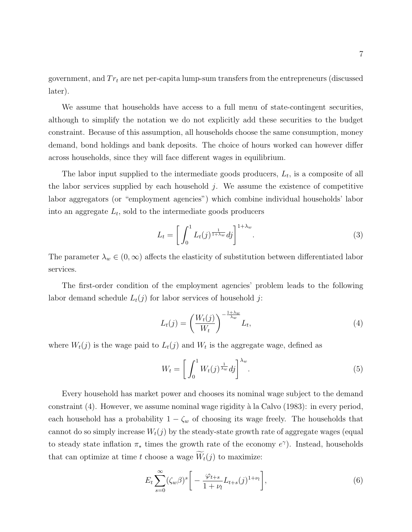government, and  $Tr_t$  are net per-capita lump-sum transfers from the entrepreneurs (discussed later).

We assume that households have access to a full menu of state-contingent securities, although to simplify the notation we do not explicitly add these securities to the budget constraint. Because of this assumption, all households choose the same consumption, money demand, bond holdings and bank deposits. The choice of hours worked can however differ across households, since they will face different wages in equilibrium.

The labor input supplied to the intermediate goods producers,  $L_t$ , is a composite of all the labor services supplied by each household  $j$ . We assume the existence of competitive labor aggregators (or "employment agencies") which combine individual households' labor into an aggregate  $L_t$ , sold to the intermediate goods producers

$$
L_t = \left[ \int_0^1 L_t(j)^{\frac{1}{1+\lambda_w}} dj \right]^{1+\lambda_w}.
$$
\n(3)

The parameter  $\lambda_w \in (0,\infty)$  affects the elasticity of substitution between differentiated labor services.

The first-order condition of the employment agencies' problem leads to the following labor demand schedule  $L_t(j)$  for labor services of household j:

<span id="page-8-0"></span>
$$
L_t(j) = \left(\frac{W_t(j)}{W_t}\right)^{-\frac{1+\lambda_w}{\lambda_w}} L_t,
$$
\n
$$
(4)
$$

where  $W_t(j)$  is the wage paid to  $L_t(j)$  and  $W_t$  is the aggregate wage, defined as

$$
W_t = \left[ \int_0^1 W_t(j)^{\frac{1}{\lambda_w}} dj \right]^{\lambda_w}.
$$
\n
$$
(5)
$$

Every household has market power and chooses its nominal wage subject to the demand constraint  $(4)$ . However, we assume nominal wage rigidity à la [Calvo](#page-34-4)  $(1983)$ : in every period, each household has a probability  $1 - \zeta_w$  of choosing its wage freely. The households that cannot do so simply increase  $W_t(j)$  by the steady-state growth rate of aggregate wages (equal to steady state inflation  $\pi_*$  times the growth rate of the economy  $e^{\gamma}$ ). Instead, households that can optimize at time t choose a wage  $\widetilde{W}_t(j)$  to maximize:

$$
E_t \sum_{s=0}^{\infty} (\zeta_w \beta)^s \bigg[ -\frac{\varphi_{t+s}}{1+\nu_l} L_{t+s}(j)^{1+\nu_l} \bigg],\tag{6}
$$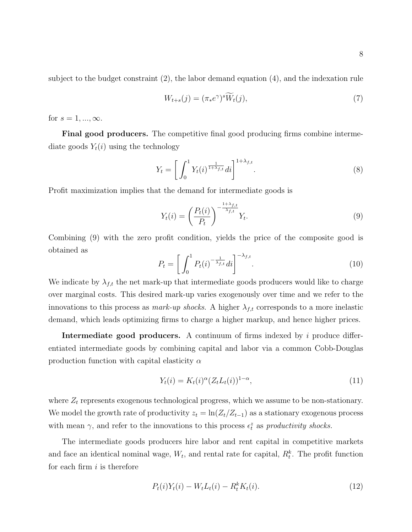subject to the budget constraint [\(2\)](#page-7-2), the labor demand equation [\(4\)](#page-8-0), and the indexation rule

$$
W_{t+s}(j) = (\pi_* e^{\gamma})^s \widetilde{W}_t(j), \tag{7}
$$

for  $s = 1, \ldots, \infty$ .

Final good producers. The competitive final good producing firms combine intermediate goods  $Y_t(i)$  using the technology

$$
Y_t = \left[ \int_0^1 Y_t(i)^{\frac{1}{1+\lambda_{f,t}}} di \right]^{1+\lambda_{f,t}}.
$$
\n
$$
(8)
$$

Profit maximization implies that the demand for intermediate goods is

<span id="page-9-0"></span>
$$
Y_t(i) = \left(\frac{P_t(i)}{P_t}\right)^{-\frac{1+\lambda_{f,t}}{\lambda_{f,t}}} Y_t.
$$
\n
$$
(9)
$$

Combining [\(9\)](#page-9-0) with the zero profit condition, yields the price of the composite good is obtained as

$$
P_t = \left[ \int_0^1 P_t(i)^{-\frac{1}{\lambda_{f,t}}} di \right]^{-\lambda_{f,t}}.
$$
\n(10)

We indicate by  $\lambda_{f,t}$  the net mark-up that intermediate goods producers would like to charge over marginal costs. This desired mark-up varies exogenously over time and we refer to the innovations to this process as *mark-up shocks*. A higher  $\lambda_{f,t}$  corresponds to a more inelastic demand, which leads optimizing firms to charge a higher markup, and hence higher prices.

Intermediate good producers. A continuum of firms indexed by i produce differentiated intermediate goods by combining capital and labor via a common Cobb-Douglas production function with capital elasticity  $\alpha$ 

$$
Y_t(i) = K_t(i)^{\alpha} (Z_t L_t(i))^{1-\alpha}, \qquad (11)
$$

where  $Z_t$  represents exogenous technological progress, which we assume to be non-stationary. We model the growth rate of productivity  $z_t = \ln(Z_t/Z_{t-1})$  as a stationary exogenous process with mean  $\gamma$ , and refer to the innovations to this process  $\epsilon_t^z$  as productivity shocks.

The intermediate goods producers hire labor and rent capital in competitive markets and face an identical nominal wage,  $W_t$ , and rental rate for capital,  $R_t^k$ . The profit function for each firm  $i$  is therefore

$$
P_t(i)Y_t(i) - W_t L_t(i) - R_t^k K_t(i).
$$
\n(12)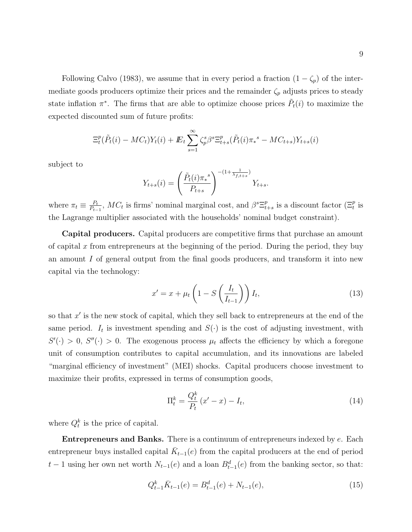Following [Calvo](#page-34-4) [\(1983\)](#page-34-4), we assume that in every period a fraction  $(1 - \zeta_p)$  of the intermediate goods producers optimize their prices and the remainder  $\zeta_p$  adjusts prices to steady state inflation  $\pi^*$ . The firms that are able to optimize choose prices  $\tilde{P}_t(i)$  to maximize the expected discounted sum of future profits:

$$
\Xi_t^p(\tilde{P}_t(i) - MC_t)Y_t(i) + \mathbb{E}_t \sum_{s=1}^{\infty} \zeta_p^s \beta^s \Xi_{t+s}^p(\tilde{P}_t(i)\pi_*^s - MC_{t+s})Y_{t+s}(i)
$$

subject to

$$
Y_{t+s}(i) = \left(\frac{\tilde{P}_t(i)\pi_*^s}{P_{t+s}}\right)^{-(1+\frac{1}{\lambda_{f,t+s}})} Y_{t+s}.
$$

where  $\pi_t \equiv \frac{P_t}{P_t}$  $\frac{P_t}{P_{t-1}}$ ,  $MC_t$  is firms' nominal marginal cost, and  $\beta^s \Xi_t^p$  $_{t+s}^p$  is a discount factor  $(\Xi_t^p)$  is the Lagrange multiplier associated with the households' nominal budget constraint).

Capital producers. Capital producers are competitive firms that purchase an amount of capital x from entrepreneurs at the beginning of the period. During the period, they buy an amount I of general output from the final goods producers, and transform it into new capital via the technology:

$$
x' = x + \mu_t \left( 1 - S \left( \frac{I_t}{I_{t-1}} \right) \right) I_t,\tag{13}
$$

so that  $x'$  is the new stock of capital, which they sell back to entrepreneurs at the end of the same period.  $I_t$  is investment spending and  $S(\cdot)$  is the cost of adjusting investment, with  $S'(\cdot) > 0$ ,  $S''(\cdot) > 0$ . The exogenous process  $\mu_t$  affects the efficiency by which a foregone unit of consumption contributes to capital accumulation, and its innovations are labeled "marginal efficiency of investment" (MEI) shocks. Capital producers choose investment to maximize their profits, expressed in terms of consumption goods,

$$
\Pi_t^k = \frac{Q_t^k}{P_t} \left( x' - x \right) - I_t,\tag{14}
$$

where  $Q_t^k$  is the price of capital.

Entrepreneurs and Banks. There is a continuum of entrepreneurs indexed by e. Each entrepreneur buys installed capital  $\bar{K}_{t-1}(e)$  from the capital producers at the end of period  $t-1$  using her own net worth  $N_{t-1}(e)$  and a loan  $B_{t-1}^d(e)$  from the banking sector, so that:

$$
Q_{t-1}^k \bar{K}_{t-1}(e) = B_{t-1}^d(e) + N_{t-1}(e), \tag{15}
$$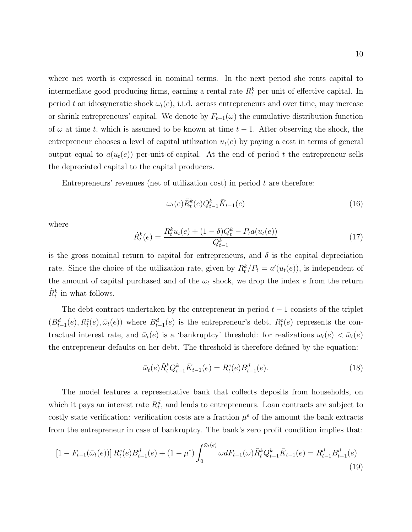where net worth is expressed in nominal terms. In the next period she rents capital to intermediate good producing firms, earning a rental rate  $R_t^k$  per unit of effective capital. In period t an idiosyncratic shock  $\omega_t(e)$ , i.i.d. across entrepreneurs and over time, may increase or shrink entrepreneurs' capital. We denote by  $F_{t-1}(\omega)$  the cumulative distribution function of  $\omega$  at time t, which is assumed to be known at time  $t - 1$ . After observing the shock, the entrepreneur chooses a level of capital utilization  $u_t(e)$  by paying a cost in terms of general output equal to  $a(u_t(e))$  per-unit-of-capital. At the end of period t the entrepreneur sells the depreciated capital to the capital producers.

Entrepreneurs' revenues (net of utilization cost) in period  $t$  are therefore:

$$
\omega_t(e)\tilde{R}_t^k(e)Q_{t-1}^k\bar{K}_{t-1}(e) \tag{16}
$$

where

$$
\tilde{R}_t^k(e) = \frac{R_t^k u_t(e) + (1 - \delta)Q_t^k - P_t a(u_t(e))}{Q_{t-1}^k}
$$
\n(17)

is the gross nominal return to capital for entrepreneurs, and  $\delta$  is the capital depreciation rate. Since the choice of the utilization rate, given by  $R_t^k/P_t = a'(u_t(e))$ , is independent of the amount of capital purchased and of the  $\omega_t$  shock, we drop the index e from the return  $\tilde{R}^k_t$  in what follows.

The debt contract undertaken by the entrepreneur in period  $t-1$  consists of the triplet  $(B_{t-1}^d(e), R_t^c(e), \bar{\omega}_t(e))$  where  $B_{t-1}^d(e)$  is the entrepreneur's debt,  $R_t^c(e)$  represents the contractual interest rate, and  $\bar{\omega}_t(e)$  is a 'bankruptcy' threshold: for realizations  $\omega_t(e) < \bar{\omega}_t(e)$ the entrepreneur defaults on her debt. The threshold is therefore defined by the equation:

$$
\bar{\omega}_t(e)\tilde{R}_t^k Q_{t-1}^k \bar{K}_{t-1}(e) = R_t^c(e)B_{t-1}^d(e). \tag{18}
$$

The model features a representative bank that collects deposits from households, on which it pays an interest rate  $R_t^d$ , and lends to entrepreneurs. Loan contracts are subject to costly state verification: verification costs are a fraction  $\mu^e$  of the amount the bank extracts from the entrepreneur in case of bankruptcy. The bank's zero profit condition implies that:

<span id="page-11-0"></span>
$$
[1 - F_{t-1}(\bar{\omega}_t(e))] R_t^c(e) B_{t-1}^d(e) + (1 - \mu^e) \int_0^{\bar{\omega}_t(e)} \omega dF_{t-1}(\omega) \tilde{R}_t^k Q_{t-1}^k \bar{K}_{t-1}(e) = R_{t-1}^d B_{t-1}^d(e)
$$
\n(19)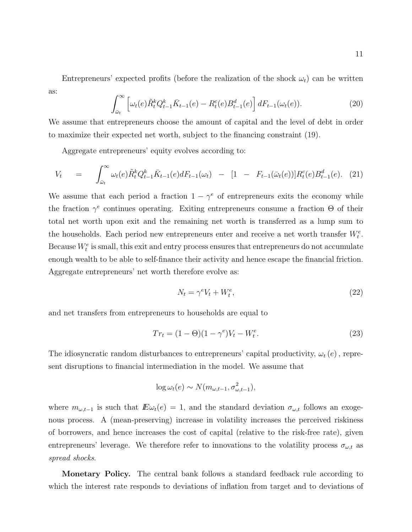Entrepreneurs' expected profits (before the realization of the shock  $\omega_t$ ) can be written as:

$$
\int_{\bar{\omega}_t}^{\infty} \left[ \omega_t(e) \tilde{R}_t^k Q_{t-1}^k \bar{K}_{t-1}(e) - R_t^c(e) B_{t-1}^d(e) \right] dF_{t-1}(\omega_t(e)). \tag{20}
$$

We assume that entrepreneurs choose the amount of capital and the level of debt in order to maximize their expected net worth, subject to the financing constraint [\(19\)](#page-11-0).

Aggregate entrepreneurs' equity evolves according to:

$$
V_t = \int_{\bar{\omega}_t}^{\infty} \omega_t(e) \tilde{R}_t^k Q_{t-1}^k \bar{K}_{t-1}(e) dF_{t-1}(\omega_t) - [1 - F_{t-1}(\bar{\omega}_t(e))] R_t^c(e) B_{t-1}^d(e). \tag{21}
$$

We assume that each period a fraction  $1 - \gamma^e$  of entrepreneurs exits the economy while the fraction  $\gamma^e$  continues operating. Exiting entrepreneurs consume a fraction  $\Theta$  of their total net worth upon exit and the remaining net worth is transferred as a lump sum to the households. Each period new entrepreneurs enter and receive a net worth transfer  $W_t^e$ . Because  $W_t^e$  is small, this exit and entry process ensures that entrepreneurs do not accumulate enough wealth to be able to self-finance their activity and hence escape the financial friction. Aggregate entrepreneurs' net worth therefore evolve as:

$$
N_t = \gamma^e V_t + W_t^e,\tag{22}
$$

and net transfers from entrepreneurs to households are equal to

$$
Tr_t = (1 - \Theta)(1 - \gamma^e)V_t - W_t^e. \tag{23}
$$

The idiosyncratic random disturbances to entrepreneurs' capital productivity,  $\omega_t(e)$ , represent disruptions to financial intermediation in the model. We assume that

$$
\log \omega_t(e) \sim N(m_{\omega, t-1}, \sigma_{\omega, t-1}^2),
$$

where  $m_{\omega,t-1}$  is such that  $E\omega_t(e) = 1$ , and the standard deviation  $\sigma_{\omega,t}$  follows an exogenous process. A (mean-preserving) increase in volatility increases the perceived riskiness of borrowers, and hence increases the cost of capital (relative to the risk-free rate), given entrepreneurs' leverage. We therefore refer to innovations to the volatility process  $\sigma_{\omega,t}$  as spread shocks.

Monetary Policy. The central bank follows a standard feedback rule according to which the interest rate responds to deviations of inflation from target and to deviations of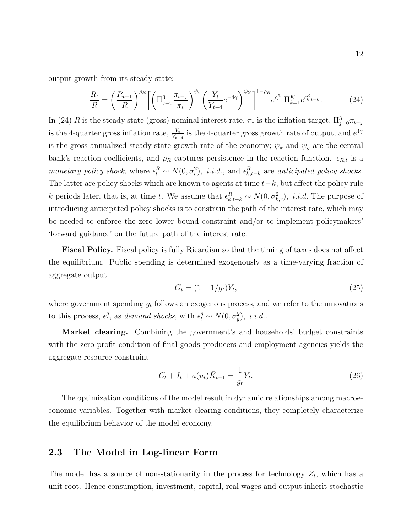output growth from its steady state:

<span id="page-13-1"></span>
$$
\frac{R_t}{R} = \left(\frac{R_{t-1}}{R}\right)^{\rho_R} \left[ \left(\Pi_{j=0}^3 \frac{\pi_{t-j}}{\pi_*}\right)^{\psi_\pi} \left(\frac{Y_t}{Y_{t-4}} e^{-4\gamma}\right)^{\psi_Y} \right]^{1-\rho_R} e^{\epsilon_t^R} \Pi_{k=1}^K e^{\epsilon_{k,t-k}^R}.
$$
(24)

In [\(24\)](#page-13-1) R is the steady state (gross) nominal interest rate,  $\pi_*$  is the inflation target,  $\Pi_{j=0}^3 \pi_{t-j}$ is the 4-quarter gross inflation rate,  $\frac{Y_t}{Y_{t-4}}$  is the 4-quarter gross growth rate of output, and  $e^{4\gamma}$ is the gross annualized steady-state growth rate of the economy;  $\psi_{\pi}$  and  $\psi_{y}$  are the central bank's reaction coefficients, and  $\rho_R$  captures persistence in the reaction function.  $\epsilon_{R,t}$  is a monetary policy shock, where  $\epsilon_t^R \sim N(0, \sigma_r^2)$ , i.i.d., and  $\epsilon_{k,t-k}^R$  are anticipated policy shocks. The latter are policy shocks which are known to agents at time  $t-k$ , but affect the policy rule k periods later, that is, at time t. We assume that  $\epsilon_{k,t-k}^R \sim N(0, \sigma_{k,r}^2)$ , *i.i.d.* The purpose of introducing anticipated policy shocks is to constrain the path of the interest rate, which may be needed to enforce the zero lower bound constraint and/or to implement policymakers' 'forward guidance' on the future path of the interest rate.

Fiscal Policy. Fiscal policy is fully Ricardian so that the timing of taxes does not affect the equilibrium. Public spending is determined exogenously as a time-varying fraction of aggregate output

$$
G_t = (1 - 1/g_t)Y_t,
$$
\n(25)

where government spending  $g_t$  follows an exogenous process, and we refer to the innovations to this process,  $\epsilon_t^g$  $t_t^g$ , as demand shocks, with  $\epsilon_t^g \sim N(0, \sigma_g^2)$ , i.i.d..

Market clearing. Combining the government's and households' budget constraints with the zero profit condition of final goods producers and employment agencies yields the aggregate resource constraint

$$
C_t + I_t + a(u_t)\bar{K}_{t-1} = \frac{1}{g_t}Y_t.
$$
\n(26)

The optimization conditions of the model result in dynamic relationships among macroeconomic variables. Together with market clearing conditions, they completely characterize the equilibrium behavior of the model economy.

#### <span id="page-13-0"></span>2.3 The Model in Log-linear Form

The model has a source of non-stationarity in the process for technology  $Z_t$ , which has a unit root. Hence consumption, investment, capital, real wages and output inherit stochastic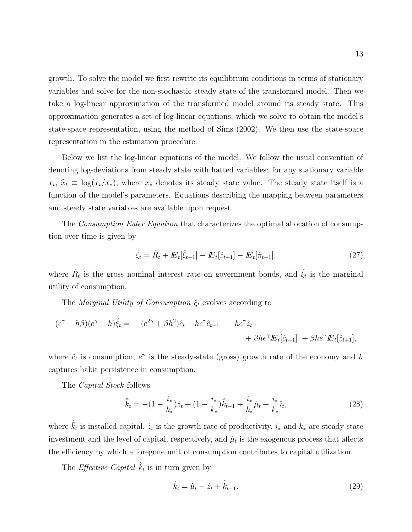growth. To solve the model we first rewrite its equilibrium conditions in terms of stationary variables and solve for the non-stochastic steady state of the transformed model. Then we take a log-linear approximation of the transformed model around its steady state. This approximation generates a set of log-linear equations, which we solve to obtain the model's state-space representation, using the method of [Sims](#page-35-3) [\(2002\)](#page-35-3). We then use the state-space representation in the estimation procedure.

Below we list the log-linear equations of the model. We follow the usual convention of denoting log-deviations from steady state with hatted variables: for any stationary variable  $x_t$ ,  $\hat{x}_t \equiv \log(x_t/x_*)$ , where  $x_*$  denotes its steady state value. The steady state itself is a function of the model's parameters. Equations describing the mapping between parameters and steady state variables are available upon request.

The *Consumption Euler Equation* that characterizes the optimal allocation of consumption over time is given by

$$
\hat{\xi}_t = \hat{R}_t + \mathbb{E}_t[\hat{\xi}_{t+1}] - \mathbb{E}_t[\hat{z}_{t+1}] - \mathbb{E}_t[\hat{\pi}_{t+1}],
$$
\n(27)

where  $\hat{R}_t$  is the gross nominal interest rate on government bonds, and  $\hat{\xi}_t$  is the marginal utility of consumption.

The Marginal Utility of Consumption  $\xi_t$  evolves according to

$$
\begin{aligned} (e^{\gamma} - h\beta)(e^{\gamma} - h)\hat{\xi}_t &= -\ (e^{2\gamma} + \beta h^2)\hat{c}_t + h e^{\gamma}\hat{c}_{t-1} \ - \ he^{\gamma}\hat{z}_t \\ &+ \beta h e^{\gamma} E_t[\hat{c}_{t+1}] \ + \beta h e^{\gamma} E_t[\hat{z}_{t+1}], \end{aligned}
$$

where  $\hat{c}_t$  is consumption,  $e^{\gamma}$  is the steady-state (gross) growth rate of the economy and h captures habit persistence in consumption.

The Capital Stock follows

$$
\hat{\bar{k}}_t = -(1 - \frac{i_*}{k_*})\hat{z}_t + (1 - \frac{i_*}{k_*})\hat{\bar{k}}_{t-1} + \frac{i_*}{k_*}\hat{\mu}_t + \frac{i_*}{k_*}\hat{i}_t,\tag{28}
$$

where  $\hat{\bar{k}}_t$  is installed capital,  $\hat{z}_t$  is the growth rate of productivity,  $i_*$  and  $k_*$  are steady state investment and the level of capital, respectively, and  $\hat{\mu}_t$  is the exogenous process that affects the efficiency by which a foregone unit of consumption contributes to capital utilization.

The *Effective Capital*  $\hat{k}_t$  is in turn given by

$$
\hat{k}_t = \hat{u}_t - \hat{z}_t + \hat{\bar{k}}_{t-1},\tag{29}
$$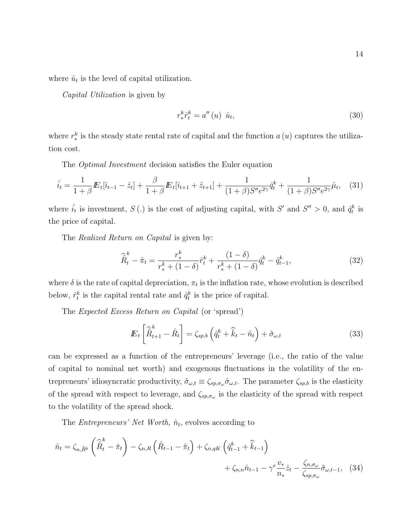where  $\hat{u}_t$  is the level of capital utilization.

Capital Utilization is given by

$$
r_*^k \hat{r}_t^k = a''(u) \hat{u}_t,\tag{30}
$$

where  $r_*^k$  is the steady state rental rate of capital and the function  $a(u)$  captures the utilization cost.

The Optimal Investment decision satisfies the Euler equation

$$
\hat{i}_t = \frac{1}{1+\beta} \mathbf{E}_t[\hat{i}_{t-1} - \hat{z}_t] + \frac{\beta}{1+\beta} \mathbf{E}_t[\hat{i}_{t+1} + \hat{z}_{t+1}] + \frac{1}{(1+\beta)S''e^{2\gamma}} \hat{q}_t^k + \frac{1}{(1+\beta)S''e^{2\gamma}} \hat{\mu}_t, \quad (31)
$$

where  $\hat{i}_t$  is investment,  $S(.)$  is the cost of adjusting capital, with  $S'$  and  $S'' > 0$ , and  $\hat{q}_t^k$  is the price of capital.

The *Realized Return on Capital* is given by:

$$
\widehat{\widetilde{R}}_t^k - \widehat{\pi}_t = \frac{r_*^k}{r_*^k + (1 - \delta)} \widehat{r}_t^k + \frac{(1 - \delta)}{r_*^k + (1 - \delta)} \widehat{q}_t^k - \widehat{q}_{t-1}^k, \tag{32}
$$

where  $\delta$  is the rate of capital depreciation,  $\pi_t$  is the inflation rate, whose evolution is described below,  $\hat{r}_t^k$  is the capital rental rate and  $\hat{q}_t^k$  is the price of capital.

The Expected Excess Return on Capital (or 'spread')

$$
\underline{F}_t \left[ \widehat{\tilde{R}}_{t+1}^k - \widehat{R}_t \right] = \zeta_{sp,b} \left( \widehat{q}_t^k + \widehat{\bar{k}}_t - \widehat{n}_t \right) + \widetilde{\sigma}_{\omega,t} \tag{33}
$$

can be expressed as a function of the entrepreneurs' leverage (i.e., the ratio of the value of capital to nominal net worth) and exogenous fluctuations in the volatility of the entrepreneurs' idiosyncratic productivity,  $\tilde{\sigma}_{\omega,t} \equiv \zeta_{sp,\sigma_\omega} \hat{\sigma}_{\omega,t}$ . The parameter  $\zeta_{sp,b}$  is the elasticity of the spread with respect to leverage, and  $\zeta_{sp,\sigma_{\omega}}$  is the elasticity of the spread with respect to the volatility of the spread shock.

The *Entrepreneurs' Net Worth*,  $\hat{n}_t$ , evolves according to

$$
\hat{n}_t = \zeta_{n,\tilde{R}^k} \left( \widehat{\tilde{R}}_t^k - \hat{\pi}_t \right) - \zeta_{n,R} \left( \hat{R}_{t-1} - \hat{\pi}_t \right) + \zeta_{n,qK} \left( \hat{q}_{t-1}^k + \widehat{\tilde{k}}_{t-1} \right) + \zeta_{n,n} \hat{n}_{t-1} - \gamma^e \frac{v_*}{n_*} \hat{z}_t - \frac{\zeta_{n,\sigma_\omega}}{\zeta_{sp,\sigma_\omega}} \tilde{\sigma}_{\omega,t-1}, \tag{34}
$$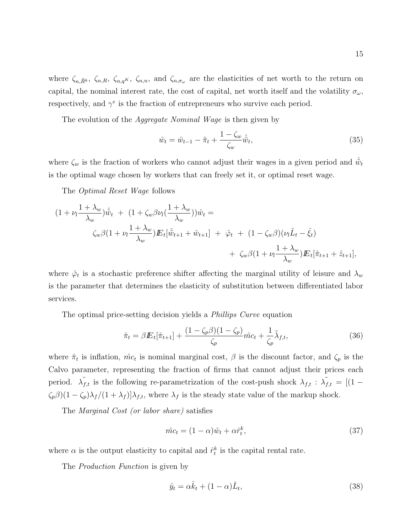where  $\zeta_{n,\tilde{R}^k}$ ,  $\zeta_{n,R}$ ,  $\zeta_{n,q}$ ,  $\zeta_{n,n}$ , and  $\zeta_{n,\sigma_\omega}$  are the elasticities of net worth to the return on capital, the nominal interest rate, the cost of capital, net worth itself and the volatility  $\sigma_{\omega}$ , respectively, and  $\gamma^e$  is the fraction of entrepreneurs who survive each period.

The evolution of the *Aggregate Nominal Wage* is then given by

$$
\hat{w}_t = \hat{w}_{t-1} - \hat{\pi}_t + \frac{1 - \zeta_w}{\zeta_w} \hat{\tilde{w}}_t,\tag{35}
$$

where  $\zeta_w$  is the fraction of workers who cannot adjust their wages in a given period and  $\hat{\tilde{w}}_t$ is the optimal wage chosen by workers that can freely set it, or optimal reset wage.

The Optimal Reset Wage follows

$$
(1 + \nu_l \frac{1 + \lambda_w}{\lambda_w})\hat{\tilde{w}}_t + (1 + \zeta_w \beta \nu_l (\frac{1 + \lambda_w}{\lambda_w}))\hat{w}_t =
$$
  

$$
\zeta_w \beta (1 + \nu_l \frac{1 + \lambda_w}{\lambda_w}) E_t[\hat{\tilde{w}}_{t+1} + \hat{w}_{t+1}] + \hat{\varphi}_t + (1 - \zeta_w \beta)(\nu_l \hat{L}_t - \hat{\xi}_t)
$$
  

$$
+ \zeta_w \beta (1 + \nu_l \frac{1 + \lambda_w}{\lambda_w}) E_t[\hat{\pi}_{t+1} + \hat{z}_{t+1}],
$$

where  $\hat{\varphi}_t$  is a stochastic preference shifter affecting the marginal utility of leisure and  $\lambda_w$ is the parameter that determines the elasticity of substitution between differentiated labor services.

The optimal price-setting decision yields a *Phillips Curve* equation

$$
\hat{\pi}_t = \beta E_t[\hat{\pi}_{t+1}] + \frac{(1 - \zeta_p \beta)(1 - \zeta_p)}{\zeta_p} \hat{mc}_t + \frac{1}{\zeta_p} \tilde{\lambda}_{f,t},\tag{36}
$$

where  $\hat{\pi}_t$  is inflation,  $\hat{mc}_t$  is nominal marginal cost,  $\beta$  is the discount factor, and  $\zeta_p$  is the Calvo parameter, representing the fraction of firms that cannot adjust their prices each period.  $\lambda_{f,t}^{\gamma}$  is the following re-parametrization of the cost-push shock  $\lambda_{f,t}$ :  $\lambda_{f,t}^{\gamma} = [(1 \zeta_p(\beta)(1-\zeta_p)\lambda_f/(1+\lambda_f)|\lambda_{f,t}$ , where  $\lambda_f$  is the steady state value of the markup shock.

The Marginal Cost (or labor share) satisfies

$$
\hat{mc}_t = (1 - \alpha)\hat{w}_t + \alpha \hat{r}_t^k,\tag{37}
$$

where  $\alpha$  is the output elasticity to capital and  $\hat{r}_t^k$  is the capital rental rate.

The Production Function is given by

$$
\hat{y}_t = \alpha \hat{k}_t + (1 - \alpha) \hat{L}_t,\tag{38}
$$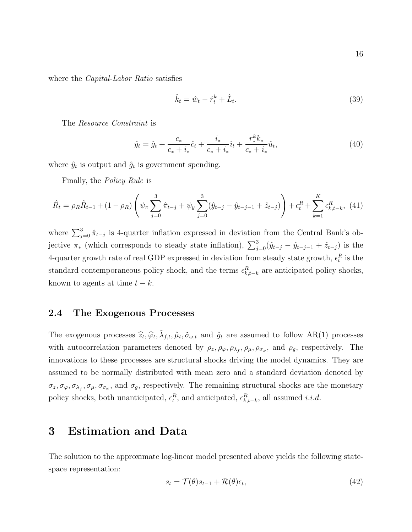where the Capital-Labor Ratio satisfies

$$
\hat{k}_t = \hat{w}_t - \hat{r}_t^k + \hat{L}_t. \tag{39}
$$

The Resource Constraint is

$$
\hat{y}_t = \hat{g}_t + \frac{c_*}{c_* + i_*}\hat{c}_t + \frac{i_*}{c_* + i_*}\hat{i}_t + \frac{r_*^k k_*}{c_* + i_*}\hat{u}_t,\tag{40}
$$

where  $\hat{y}_t$  is output and  $\hat{g}_t$  is government spending.

Finally, the Policy Rule is

$$
\hat{R}_t = \rho_R \hat{R}_{t-1} + (1 - \rho_R) \left( \psi_\pi \sum_{j=0}^3 \hat{\pi}_{t-j} + \psi_y \sum_{j=0}^3 (\hat{y}_{t-j} - \hat{y}_{t-j-1} + \hat{z}_{t-j}) \right) + \epsilon_t^R + \sum_{k=1}^K \epsilon_{k,t-k}^R, (41)
$$

where  $\sum_{j=0}^{3} \hat{\pi}_{t-j}$  is 4-quarter inflation expressed in deviation from the Central Bank's objective  $\pi_*$  (which corresponds to steady state inflation),  $\sum_{j=0}^{3} (\hat{y}_{t-j} - \hat{y}_{t-j-1} + \hat{z}_{t-j})$  is the 4-quarter growth rate of real GDP expressed in deviation from steady state growth,  $\epsilon_t^R$  is the standard contemporaneous policy shock, and the terms  $\epsilon_{k,t-k}^R$  are anticipated policy shocks, known to agents at time  $t - k$ .

#### <span id="page-17-0"></span>2.4 The Exogenous Processes

The exogenous processes  $\hat{z}_t$ ,  $\hat{\varphi}_t$ ,  $\tilde{\lambda}_{f,t}$ ,  $\hat{\mu}_t$ ,  $\tilde{\sigma}_{\omega,t}$  and  $\hat{g}_t$  are assumed to follow AR(1) processes with autocorrelation parameters denoted by  $\rho_z, \rho_\varphi, \rho_{\lambda_f}, \rho_\mu, \rho_{\sigma_\omega}$ , and  $\rho_g$ , respectively. The innovations to these processes are structural shocks driving the model dynamics. They are assumed to be normally distributed with mean zero and a standard deviation denoted by  $\sigma_z, \sigma_\varphi, \sigma_{\lambda_f}, \sigma_\mu, \sigma_{\sigma_\omega}$ , and  $\sigma_g$ , respectively. The remaining structural shocks are the monetary policy shocks, both unanticipated,  $\epsilon_t^R$ , and anticipated,  $\epsilon_{k,t-k}^R$ , all assumed *i.i.d.* 

## <span id="page-17-1"></span>3 Estimation and Data

The solution to the approximate log-linear model presented above yields the following statespace representation:

<span id="page-17-2"></span>
$$
s_t = \mathcal{T}(\theta)s_{t-1} + \mathcal{R}(\theta)\epsilon_t,\tag{42}
$$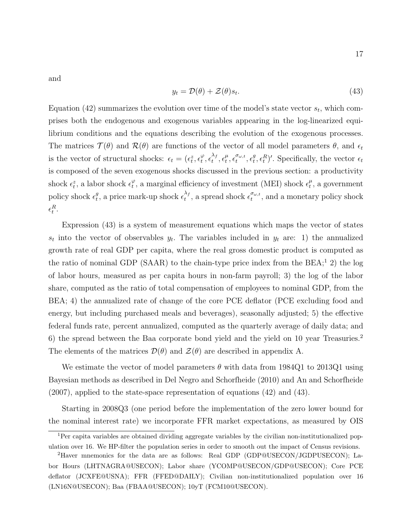and

<span id="page-18-0"></span>
$$
y_t = \mathcal{D}(\theta) + \mathcal{Z}(\theta)s_t.
$$
\n<sup>(43)</sup>

Equation [\(42\)](#page-17-2) summarizes the evolution over time of the model's state vector  $s_t$ , which comprises both the endogenous and exogenous variables appearing in the log-linearized equilibrium conditions and the equations describing the evolution of the exogenous processes. The matrices  $\mathcal{T}(\theta)$  and  $\mathcal{R}(\theta)$  are functions of the vector of all model parameters  $\theta$ , and  $\epsilon_t$ is the vector of structural shocks:  $\epsilon_t = (\epsilon_t^z, \epsilon_t^{\varphi})$  $_{t}^{\varphi},\epsilon_{t}^{\lambda_{f}}$  $_{t}^{\lambda_{f}},\epsilon_{t}^{\mu}%$  $_t^\mu, \epsilon_t^{\sigma_{\omega,t}}$  $_{t}^{\sigma_{\omega,t}},\epsilon_{t}^{g}$  $(t^g, \epsilon_t^R)'$ . Specifically, the vector  $\epsilon_t$ is composed of the seven exogenous shocks discussed in the previous section: a productivity shock  $\epsilon_t^z$  , a labor shock  $\epsilon_t^\varphi$  $_t^{\varphi}$ , a marginal efficiency of investment (MEI) shock  $\epsilon_t^{\mu}$  $t<sub>t</sub><sup>\mu</sup>$ , a government policy shock  $\epsilon_t^g$  $\epsilon_t^g$ , a price mark-up shock  $\epsilon_t^{\lambda_f}$  $\lambda_t^{\lambda_f}$ , a spread shock  $\epsilon_t^{\sigma_{\omega,t}}$  $\sigma_{\omega,t}^{\sigma_{\omega,t}}$ , and a monetary policy shock  $\epsilon_t^R.$ 

Expression [\(43\)](#page-18-0) is a system of measurement equations which maps the vector of states  $s_t$  into the vector of observables  $y_t$ . The variables included in  $y_t$  are: 1) the annualized growth rate of real GDP per capita, where the real gross domestic product is computed as the ratio of nominal GDP (SAAR) to the chain-type price index from the  $BEA$ ;<sup>[1](#page-18-1)</sup> 2) the log of labor hours, measured as per capita hours in non-farm payroll; 3) the log of the labor share, computed as the ratio of total compensation of employees to nominal GDP, from the BEA; 4) the annualized rate of change of the core PCE deflator (PCE excluding food and energy, but including purchased meals and beverages), seasonally adjusted; 5) the effective federal funds rate, percent annualized, computed as the quarterly average of daily data; and 6) the spread between the Baa corporate bond yield and the yield on 10 year Treasuries.[2](#page-18-2) The elements of the matrices  $\mathcal{D}(\theta)$  and  $\mathcal{Z}(\theta)$  are described in appendix [A.](#page-55-0)

We estimate the vector of model parameters  $\theta$  with data from 1984Q1 to 2013Q1 using Bayesian methods as described in [Del Negro and Schorfheide](#page-35-0) [\(2010\)](#page-35-0) and [An and Schorfheide](#page-34-3) [\(2007\)](#page-34-3), applied to the state-space representation of equations [\(42\)](#page-17-2) and [\(43\)](#page-18-0).

Starting in 2008Q3 (one period before the implementation of the zero lower bound for the nominal interest rate) we incorporate FFR market expectations, as measured by OIS

<span id="page-18-1"></span><sup>&</sup>lt;sup>1</sup>Per capita variables are obtained dividing aggregate variables by the civilian non-institutionalized population over 16. We HP-filter the population series in order to smooth out the impact of Census revisions.

<span id="page-18-2"></span><sup>2</sup>Haver mnemonics for the data are as follows: Real GDP (GDP@USECON/JGDPUSECON); Labor Hours (LHTNAGRA@USECON); Labor share (YCOMP@USECON/GDP@USECON); Core PCE deflator (JCXFE@USNA); FFR (FFED@DAILY); Civilian non-institutionalized population over 16 (LN16N@USECON); Baa (FBAA@USECON); 10yT (FCM10@USECON).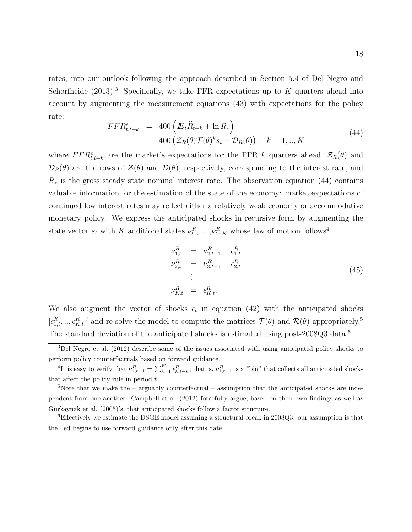rates, into our outlook following the approach described in Section 5.4 of [Del Negro and](#page-35-4) [Schorfheide](#page-35-4) [\(2013\)](#page-35-4).<sup>[3](#page-19-0)</sup> Specifically, we take FFR expectations up to  $K$  quarters ahead into account by augmenting the measurement equations [\(43\)](#page-18-0) with expectations for the policy rate:

<span id="page-19-1"></span>
$$
FFR_{t,t+k}^{e} = 400 \left( E_t \hat{R}_{t+k} + \ln R_* \right)
$$
  
= 400 \left( \mathcal{Z}\_R(\theta) \mathcal{T}(\theta)^k s\_t + \mathcal{D}\_R(\theta) \right), \quad k = 1,..,K \tag{44}

where  $FFR_{t,t+k}^e$  are the market's expectations for the FFR k quarters ahead,  $\mathcal{Z}_R(\theta)$  and  $\mathcal{D}_R(\theta)$  are the rows of  $\mathcal{Z}(\theta)$  and  $\mathcal{D}(\theta)$ , respectively, corresponding to the interest rate, and  $R_*$  is the gross steady state nominal interest rate. The observation equation [\(44\)](#page-19-1) contains valuable information for the estimation of the state of the economy: market expectations of continued low interest rates may reflect either a relatively weak economy or accommodative monetary policy. We express the anticipated shocks in recursive form by augmenting the state vector  $s_t$  with K additional states  $\nu_t^R, \ldots, \nu_{t-K}^R$  whose law of motion follows<sup>[4](#page-19-2)</sup>

$$
\nu_{1,t}^{R} = \nu_{2,t-1}^{R} + \epsilon_{1,t}^{R}
$$
\n
$$
\nu_{2,t}^{R} = \nu_{3,t-1}^{R} + \epsilon_{2,t}^{R}
$$
\n
$$
\vdots
$$
\n
$$
\nu_{K,t}^{R} = \epsilon_{K,t}^{R}.
$$
\n(45)

We also augment the vector of shocks  $\epsilon_t$  in equation [\(42\)](#page-17-2) with the anticipated shocks  $[\epsilon_{1,t}^R, ..., \epsilon_{K,t}^R]'$  and re-solve the model to compute the matrices  $\mathcal{T}(\theta)$  and  $\mathcal{R}(\theta)$  appropriately.<sup>[5](#page-19-3)</sup> The standard deviation of the anticipated shocks is estimated using post-2008Q3 data.<sup>[6](#page-19-4)</sup>

<span id="page-19-0"></span><sup>3</sup>[Del Negro et al.](#page-35-5) [\(2012\)](#page-35-5) describe some of the issues associated with using anticipated policy shocks to perform policy counterfactuals based on forward guidance.

<span id="page-19-2"></span><sup>&</sup>lt;sup>4</sup>It is easy to verify that  $\nu_{1,t-1}^R = \sum_{k=1}^K \epsilon_{k,t-k}^R$ , that is,  $\nu_{1,t-1}^R$  is a "bin" that collects all anticipated shocks that affect the policy rule in period  $t$ .

<span id="page-19-3"></span> $5$ Note that we make the – arguably counterfactual – assumption that the anticipated shocks are independent from one another. [Campbell et al.](#page-34-5) [\(2012\)](#page-34-5) forcefully argue, based on their own findings as well as Gürkaynak et al. [\(2005\)](#page-35-6)'s, that anticipated shocks follow a factor structure.

<span id="page-19-4"></span><sup>6</sup>Effectively we estimate the DSGE model assuming a structural break in 2008Q3: our assumption is that the Fed begins to use forward guidance only after this date.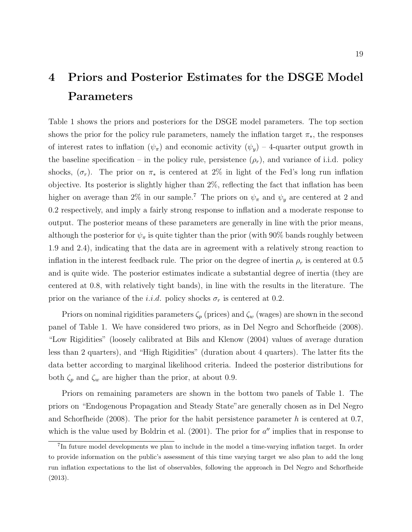# <span id="page-20-0"></span>4 Priors and Posterior Estimates for the DSGE Model Parameters

Table [1](#page-37-0) shows the priors and posteriors for the DSGE model parameters. The top section shows the prior for the policy rule parameters, namely the inflation target  $\pi_*$ , the responses of interest rates to inflation  $(\psi_{\pi})$  and economic activity  $(\psi_y)$  – 4-quarter output growth in the baseline specification – in the policy rule, persistence  $(\rho_r)$ , and variance of i.i.d. policy shocks,  $(\sigma_r)$ . The prior on  $\pi_*$  is centered at 2% in light of the Fed's long run inflation objective. Its posterior is slightly higher than 2%, reflecting the fact that inflation has been higher on average than 2% in our sample.<sup>[7](#page-20-1)</sup> The priors on  $\psi_{\pi}$  and  $\psi_{y}$  are centered at 2 and 0.2 respectively, and imply a fairly strong response to inflation and a moderate response to output. The posterior means of these parameters are generally in line with the prior means, although the posterior for  $\psi_{\pi}$  is quite tighter than the prior (with 90% bands roughly between 1.9 and 2.4), indicating that the data are in agreement with a relatively strong reaction to inflation in the interest feedback rule. The prior on the degree of inertia  $\rho_r$  is centered at 0.5 and is quite wide. The posterior estimates indicate a substantial degree of inertia (they are centered at 0.8, with relatively tight bands), in line with the results in the literature. The prior on the variance of the *i.i.d.* policy shocks  $\sigma_r$  is centered at 0.2.

Priors on nominal rigidities parameters  $\zeta_p$  (prices) and  $\zeta_w$  (wages) are shown in the second panel of Table [1.](#page-37-0) We have considered two priors, as in [Del Negro and Schorfheide](#page-34-6) [\(2008\)](#page-34-6). "Low Rigidities" (loosely calibrated at [Bils and Klenow](#page-34-7) [\(2004\)](#page-34-7) values of average duration less than 2 quarters), and "High Rigidities" (duration about 4 quarters). The latter fits the data better according to marginal likelihood criteria. Indeed the posterior distributions for both  $\zeta_p$  and  $\zeta_w$  are higher than the prior, at about 0.9.

Priors on remaining parameters are shown in the bottom two panels of Table [1.](#page-37-0) The priors on "Endogenous Propagation and Steady State"are generally chosen as in [Del Negro](#page-34-6) [and Schorfheide](#page-34-6) [\(2008\)](#page-34-6). The prior for the habit persistence parameter h is centered at 0.7, which is the value used by [Boldrin et al.](#page-34-8)  $(2001)$ . The prior for  $a''$  implies that in response to

<span id="page-20-1"></span><sup>&</sup>lt;sup>7</sup>In future model developments we plan to include in the model a time-varying inflation target. In order to provide information on the public's assessment of this time varying target we also plan to add the long run inflation expectations to the list of observables, following the approach in [Del Negro and Schorfheide](#page-35-4) [\(2013\)](#page-35-4).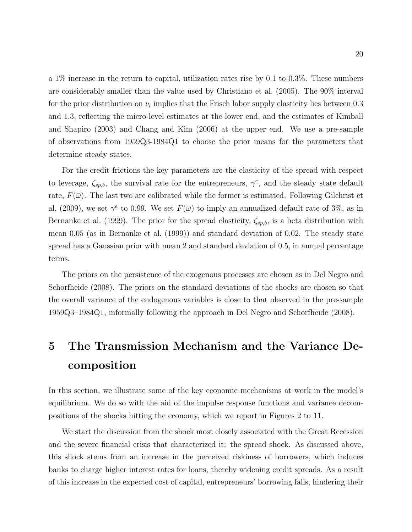a 1% increase in the return to capital, utilization rates rise by 0.1 to 0.3%. These numbers are considerably smaller than the value used by [Christiano et al.](#page-34-0) [\(2005\)](#page-34-0). The 90% interval for the prior distribution on  $\nu_l$  implies that the Frisch labor supply elasticity lies between 0.3 and 1.3, reflecting the micro-level estimates at the lower end, and the estimates of [Kimball](#page-35-7) [and Shapiro](#page-35-7) [\(2003\)](#page-35-7) and [Chang and Kim](#page-34-9) [\(2006\)](#page-34-9) at the upper end. We use a pre-sample of observations from 1959Q3-1984Q1 to choose the prior means for the parameters that determine steady states.

For the credit frictions the key parameters are the elasticity of the spread with respect to leverage,  $\zeta_{sp,b}$ , the survival rate for the entrepreneurs,  $\gamma^e$ , and the steady state default rate,  $F(\bar{\omega})$ . The last two are calibrated while the former is estimated. Following [Gilchrist et](#page-35-8) [al.](#page-35-8) [\(2009\)](#page-35-8), we set  $\gamma^e$  to 0.99. We set  $F(\bar{\omega})$  to imply an annualized default rate of 3%, as in [Bernanke et al.](#page-34-1) [\(1999\)](#page-34-1). The prior for the spread elasticity,  $\zeta_{sp,b}$ , is a beta distribution with mean 0.05 (as in [Bernanke et al.](#page-34-1) [\(1999\)](#page-34-1)) and standard deviation of 0.02. The steady state spread has a Gaussian prior with mean 2 and standard deviation of 0.5, in annual percentage terms.

The priors on the persistence of the exogenous processes are chosen as in [Del Negro and](#page-34-6) [Schorfheide](#page-34-6) [\(2008\)](#page-34-6). The priors on the standard deviations of the shocks are chosen so that the overall variance of the endogenous variables is close to that observed in the pre-sample 1959Q3–1984Q1, informally following the approach in [Del Negro and Schorfheide](#page-34-6) [\(2008\)](#page-34-6).

# <span id="page-21-0"></span>5 The Transmission Mechanism and the Variance Decomposition

In this section, we illustrate some of the key economic mechanisms at work in the model's equilibrium. We do so with the aid of the impulse response functions and variance decompositions of the shocks hitting the economy, which we report in Figures [2](#page-39-0) to [11.](#page-48-0)

We start the discussion from the shock most closely associated with the Great Recession and the severe financial crisis that characterized it: the spread shock. As discussed above, this shock stems from an increase in the perceived riskiness of borrowers, which induces banks to charge higher interest rates for loans, thereby widening credit spreads. As a result of this increase in the expected cost of capital, entrepreneurs' borrowing falls, hindering their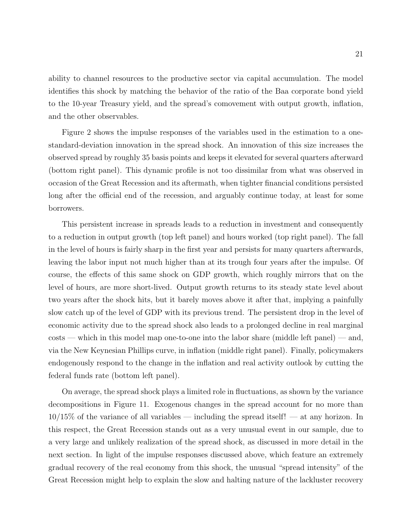ability to channel resources to the productive sector via capital accumulation. The model identifies this shock by matching the behavior of the ratio of the Baa corporate bond yield to the 10-year Treasury yield, and the spread's comovement with output growth, inflation, and the other observables.

Figure [2](#page-39-0) shows the impulse responses of the variables used in the estimation to a onestandard-deviation innovation in the spread shock. An innovation of this size increases the observed spread by roughly 35 basis points and keeps it elevated for several quarters afterward (bottom right panel). This dynamic profile is not too dissimilar from what was observed in occasion of the Great Recession and its aftermath, when tighter financial conditions persisted long after the official end of the recession, and arguably continue today, at least for some borrowers.

This persistent increase in spreads leads to a reduction in investment and consequently to a reduction in output growth (top left panel) and hours worked (top right panel). The fall in the level of hours is fairly sharp in the first year and persists for many quarters afterwards, leaving the labor input not much higher than at its trough four years after the impulse. Of course, the effects of this same shock on GDP growth, which roughly mirrors that on the level of hours, are more short-lived. Output growth returns to its steady state level about two years after the shock hits, but it barely moves above it after that, implying a painfully slow catch up of the level of GDP with its previous trend. The persistent drop in the level of economic activity due to the spread shock also leads to a prolonged decline in real marginal costs — which in this model map one-to-one into the labor share (middle left panel) — and, via the New Keynesian Phillips curve, in inflation (middle right panel). Finally, policymakers endogenously respond to the change in the inflation and real activity outlook by cutting the federal funds rate (bottom left panel).

On average, the spread shock plays a limited role in fluctuations, as shown by the variance decompositions in Figure [11.](#page-48-0) Exogenous changes in the spread account for no more than  $10/15\%$  of the variance of all variables — including the spread itself! — at any horizon. In this respect, the Great Recession stands out as a very unusual event in our sample, due to a very large and unlikely realization of the spread shock, as discussed in more detail in the next section. In light of the impulse responses discussed above, which feature an extremely gradual recovery of the real economy from this shock, the unusual "spread intensity" of the Great Recession might help to explain the slow and halting nature of the lackluster recovery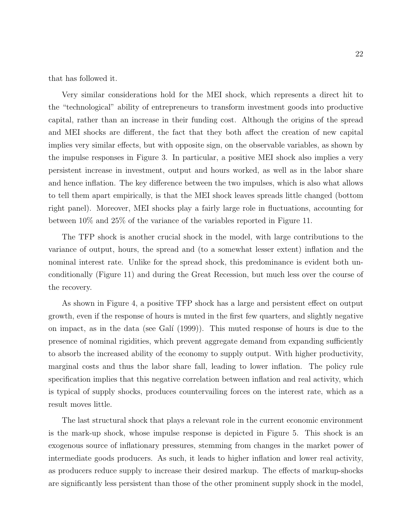that has followed it.

Very similar considerations hold for the MEI shock, which represents a direct hit to the "technological" ability of entrepreneurs to transform investment goods into productive capital, rather than an increase in their funding cost. Although the origins of the spread and MEI shocks are different, the fact that they both affect the creation of new capital implies very similar effects, but with opposite sign, on the observable variables, as shown by the impulse responses in Figure [3.](#page-40-0) In particular, a positive MEI shock also implies a very persistent increase in investment, output and hours worked, as well as in the labor share and hence inflation. The key difference between the two impulses, which is also what allows to tell them apart empirically, is that the MEI shock leaves spreads little changed (bottom right panel). Moreover, MEI shocks play a fairly large role in fluctuations, accounting for between 10% and 25% of the variance of the variables reported in Figure [11.](#page-48-0)

The TFP shock is another crucial shock in the model, with large contributions to the variance of output, hours, the spread and (to a somewhat lesser extent) inflation and the nominal interest rate. Unlike for the spread shock, this predominance is evident both unconditionally (Figure [11\)](#page-48-0) and during the Great Recession, but much less over the course of the recovery.

As shown in Figure [4,](#page-41-0) a positive TFP shock has a large and persistent effect on output growth, even if the response of hours is muted in the first few quarters, and slightly negative on impact, as in the data (see [Gal´ı](#page-35-9) [\(1999\)](#page-35-9)). This muted response of hours is due to the presence of nominal rigidities, which prevent aggregate demand from expanding sufficiently to absorb the increased ability of the economy to supply output. With higher productivity, marginal costs and thus the labor share fall, leading to lower inflation. The policy rule specification implies that this negative correlation between inflation and real activity, which is typical of supply shocks, produces countervailing forces on the interest rate, which as a result moves little.

The last structural shock that plays a relevant role in the current economic environment is the mark-up shock, whose impulse response is depicted in Figure [5.](#page-42-0) This shock is an exogenous source of inflationary pressures, stemming from changes in the market power of intermediate goods producers. As such, it leads to higher inflation and lower real activity, as producers reduce supply to increase their desired markup. The effects of markup-shocks are significantly less persistent than those of the other prominent supply shock in the model,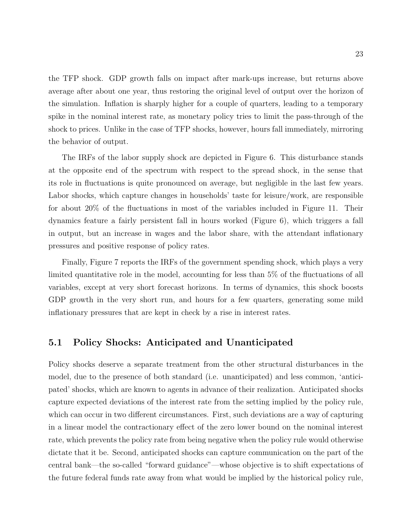the TFP shock. GDP growth falls on impact after mark-ups increase, but returns above average after about one year, thus restoring the original level of output over the horizon of the simulation. Inflation is sharply higher for a couple of quarters, leading to a temporary spike in the nominal interest rate, as monetary policy tries to limit the pass-through of the shock to prices. Unlike in the case of TFP shocks, however, hours fall immediately, mirroring the behavior of output.

The IRFs of the labor supply shock are depicted in Figure [6.](#page-43-0) This disturbance stands at the opposite end of the spectrum with respect to the spread shock, in the sense that its role in fluctuations is quite pronounced on average, but negligible in the last few years. Labor shocks, which capture changes in households' taste for leisure/work, are responsible for about 20% of the fluctuations in most of the variables included in Figure [11.](#page-48-0) Their dynamics feature a fairly persistent fall in hours worked (Figure [6\)](#page-43-0), which triggers a fall in output, but an increase in wages and the labor share, with the attendant inflationary pressures and positive response of policy rates.

Finally, Figure [7](#page-44-0) reports the IRFs of the government spending shock, which plays a very limited quantitative role in the model, accounting for less than 5% of the fluctuations of all variables, except at very short forecast horizons. In terms of dynamics, this shock boosts GDP growth in the very short run, and hours for a few quarters, generating some mild inflationary pressures that are kept in check by a rise in interest rates.

#### <span id="page-24-0"></span>5.1 Policy Shocks: Anticipated and Unanticipated

Policy shocks deserve a separate treatment from the other structural disturbances in the model, due to the presence of both standard (i.e. unanticipated) and less common, 'anticipated' shocks, which are known to agents in advance of their realization. Anticipated shocks capture expected deviations of the interest rate from the setting implied by the policy rule, which can occur in two different circumstances. First, such deviations are a way of capturing in a linear model the contractionary effect of the zero lower bound on the nominal interest rate, which prevents the policy rate from being negative when the policy rule would otherwise dictate that it be. Second, anticipated shocks can capture communication on the part of the central bank—the so-called "forward guidance"—whose objective is to shift expectations of the future federal funds rate away from what would be implied by the historical policy rule,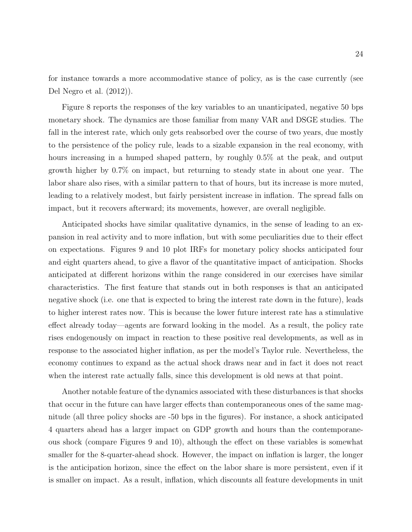for instance towards a more accommodative stance of policy, as is the case currently (see [Del Negro et al.](#page-35-5) [\(2012\)](#page-35-5)).

Figure [8](#page-45-0) reports the responses of the key variables to an unanticipated, negative 50 bps monetary shock. The dynamics are those familiar from many VAR and DSGE studies. The fall in the interest rate, which only gets reabsorbed over the course of two years, due mostly to the persistence of the policy rule, leads to a sizable expansion in the real economy, with hours increasing in a humped shaped pattern, by roughly 0.5% at the peak, and output growth higher by 0.7% on impact, but returning to steady state in about one year. The labor share also rises, with a similar pattern to that of hours, but its increase is more muted, leading to a relatively modest, but fairly persistent increase in inflation. The spread falls on impact, but it recovers afterward; its movements, however, are overall negligible.

Anticipated shocks have similar qualitative dynamics, in the sense of leading to an expansion in real activity and to more inflation, but with some peculiarities due to their effect on expectations. Figures [9](#page-46-0) and [10](#page-47-0) plot IRFs for monetary policy shocks anticipated four and eight quarters ahead, to give a flavor of the quantitative impact of anticipation. Shocks anticipated at different horizons within the range considered in our exercises have similar characteristics. The first feature that stands out in both responses is that an anticipated negative shock (i.e. one that is expected to bring the interest rate down in the future), leads to higher interest rates now. This is because the lower future interest rate has a stimulative effect already today—agents are forward looking in the model. As a result, the policy rate rises endogenously on impact in reaction to these positive real developments, as well as in response to the associated higher inflation, as per the model's Taylor rule. Nevertheless, the economy continues to expand as the actual shock draws near and in fact it does not react when the interest rate actually falls, since this development is old news at that point.

Another notable feature of the dynamics associated with these disturbances is that shocks that occur in the future can have larger effects than contemporaneous ones of the same magnitude (all three policy shocks are -50 bps in the figures). For instance, a shock anticipated 4 quarters ahead has a larger impact on GDP growth and hours than the contemporaneous shock (compare Figures [9](#page-46-0) and [10\)](#page-47-0), although the effect on these variables is somewhat smaller for the 8-quarter-ahead shock. However, the impact on inflation is larger, the longer is the anticipation horizon, since the effect on the labor share is more persistent, even if it is smaller on impact. As a result, inflation, which discounts all feature developments in unit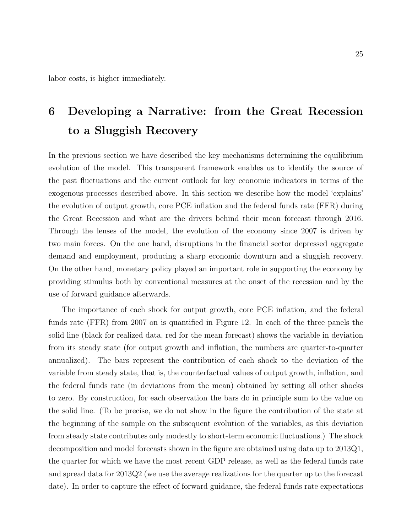labor costs, is higher immediately.

# <span id="page-26-0"></span>6 Developing a Narrative: from the Great Recession to a Sluggish Recovery

In the previous section we have described the key mechanisms determining the equilibrium evolution of the model. This transparent framework enables us to identify the source of the past fluctuations and the current outlook for key economic indicators in terms of the exogenous processes described above. In this section we describe how the model 'explains' the evolution of output growth, core PCE inflation and the federal funds rate (FFR) during the Great Recession and what are the drivers behind their mean forecast through 2016. Through the lenses of the model, the evolution of the economy since 2007 is driven by two main forces. On the one hand, disruptions in the financial sector depressed aggregate demand and employment, producing a sharp economic downturn and a sluggish recovery. On the other hand, monetary policy played an important role in supporting the economy by providing stimulus both by conventional measures at the onset of the recession and by the use of forward guidance afterwards.

The importance of each shock for output growth, core PCE inflation, and the federal funds rate (FFR) from 2007 on is quantified in Figure [12.](#page-49-0) In each of the three panels the solid line (black for realized data, red for the mean forecast) shows the variable in deviation from its steady state (for output growth and inflation, the numbers are quarter-to-quarter annualized). The bars represent the contribution of each shock to the deviation of the variable from steady state, that is, the counterfactual values of output growth, inflation, and the federal funds rate (in deviations from the mean) obtained by setting all other shocks to zero. By construction, for each observation the bars do in principle sum to the value on the solid line. (To be precise, we do not show in the figure the contribution of the state at the beginning of the sample on the subsequent evolution of the variables, as this deviation from steady state contributes only modestly to short-term economic fluctuations.) The shock decomposition and model forecasts shown in the figure are obtained using data up to 2013Q1, the quarter for which we have the most recent GDP release, as well as the federal funds rate and spread data for 2013Q2 (we use the average realizations for the quarter up to the forecast date). In order to capture the effect of forward guidance, the federal funds rate expectations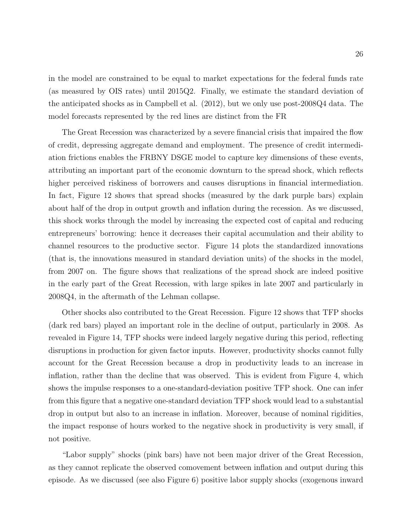in the model are constrained to be equal to market expectations for the federal funds rate (as measured by OIS rates) until 2015Q2. Finally, we estimate the standard deviation of the anticipated shocks as in Campbell et al. (2012), but we only use post-2008Q4 data. The model forecasts represented by the red lines are distinct from the FR

The Great Recession was characterized by a severe financial crisis that impaired the flow of credit, depressing aggregate demand and employment. The presence of credit intermediation frictions enables the FRBNY DSGE model to capture key dimensions of these events, attributing an important part of the economic downturn to the spread shock, which reflects higher perceived riskiness of borrowers and causes disruptions in financial intermediation. In fact, Figure [12](#page-49-0) shows that spread shocks (measured by the dark purple bars) explain about half of the drop in output growth and inflation during the recession. As we discussed, this shock works through the model by increasing the expected cost of capital and reducing entrepreneurs' borrowing: hence it decreases their capital accumulation and their ability to channel resources to the productive sector. Figure [14](#page-51-0) plots the standardized innovations (that is, the innovations measured in standard deviation units) of the shocks in the model, from 2007 on. The figure shows that realizations of the spread shock are indeed positive in the early part of the Great Recession, with large spikes in late 2007 and particularly in 2008Q4, in the aftermath of the Lehman collapse.

Other shocks also contributed to the Great Recession. Figure [12](#page-49-0) shows that TFP shocks (dark red bars) played an important role in the decline of output, particularly in 2008. As revealed in Figure [14,](#page-51-0) TFP shocks were indeed largely negative during this period, reflecting disruptions in production for given factor inputs. However, productivity shocks cannot fully account for the Great Recession because a drop in productivity leads to an increase in inflation, rather than the decline that was observed. This is evident from Figure [4,](#page-41-0) which shows the impulse responses to a one-standard-deviation positive TFP shock. One can infer from this figure that a negative one-standard deviation TFP shock would lead to a substantial drop in output but also to an increase in inflation. Moreover, because of nominal rigidities, the impact response of hours worked to the negative shock in productivity is very small, if not positive.

"Labor supply" shocks (pink bars) have not been major driver of the Great Recession, as they cannot replicate the observed comovement between inflation and output during this episode. As we discussed (see also Figure [6\)](#page-43-0) positive labor supply shocks (exogenous inward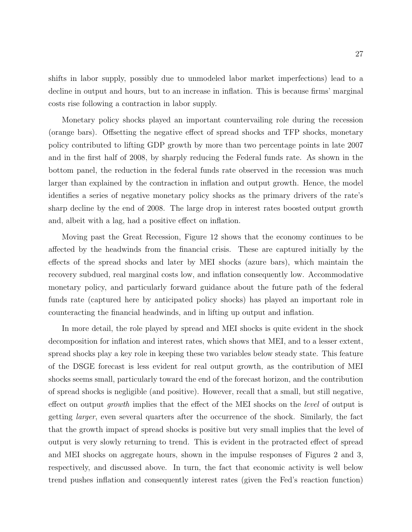shifts in labor supply, possibly due to unmodeled labor market imperfections) lead to a decline in output and hours, but to an increase in inflation. This is because firms' marginal costs rise following a contraction in labor supply.

Monetary policy shocks played an important countervailing role during the recession (orange bars). Offsetting the negative effect of spread shocks and TFP shocks, monetary policy contributed to lifting GDP growth by more than two percentage points in late 2007 and in the first half of 2008, by sharply reducing the Federal funds rate. As shown in the bottom panel, the reduction in the federal funds rate observed in the recession was much larger than explained by the contraction in inflation and output growth. Hence, the model identifies a series of negative monetary policy shocks as the primary drivers of the rate's sharp decline by the end of 2008. The large drop in interest rates boosted output growth and, albeit with a lag, had a positive effect on inflation.

Moving past the Great Recession, Figure [12](#page-49-0) shows that the economy continues to be affected by the headwinds from the financial crisis. These are captured initially by the effects of the spread shocks and later by MEI shocks (azure bars), which maintain the recovery subdued, real marginal costs low, and inflation consequently low. Accommodative monetary policy, and particularly forward guidance about the future path of the federal funds rate (captured here by anticipated policy shocks) has played an important role in counteracting the financial headwinds, and in lifting up output and inflation.

In more detail, the role played by spread and MEI shocks is quite evident in the shock decomposition for inflation and interest rates, which shows that MEI, and to a lesser extent, spread shocks play a key role in keeping these two variables below steady state. This feature of the DSGE forecast is less evident for real output growth, as the contribution of MEI shocks seems small, particularly toward the end of the forecast horizon, and the contribution of spread shocks is negligible (and positive). However, recall that a small, but still negative, effect on output *growth* implies that the effect of the MEI shocks on the *level* of output is getting larger, even several quarters after the occurrence of the shock. Similarly, the fact that the growth impact of spread shocks is positive but very small implies that the level of output is very slowly returning to trend. This is evident in the protracted effect of spread and MEI shocks on aggregate hours, shown in the impulse responses of Figures [2](#page-39-0) and [3,](#page-40-0) respectively, and discussed above. In turn, the fact that economic activity is well below trend pushes inflation and consequently interest rates (given the Fed's reaction function)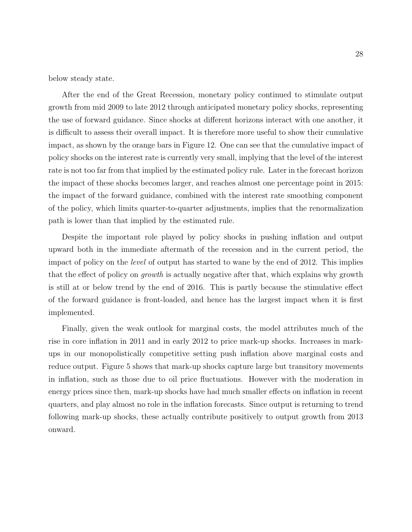below steady state.

After the end of the Great Recession, monetary policy continued to stimulate output growth from mid 2009 to late 2012 through anticipated monetary policy shocks, representing the use of forward guidance. Since shocks at different horizons interact with one another, it is difficult to assess their overall impact. It is therefore more useful to show their cumulative impact, as shown by the orange bars in Figure [12.](#page-49-0) One can see that the cumulative impact of policy shocks on the interest rate is currently very small, implying that the level of the interest rate is not too far from that implied by the estimated policy rule. Later in the forecast horizon the impact of these shocks becomes larger, and reaches almost one percentage point in 2015: the impact of the forward guidance, combined with the interest rate smoothing component of the policy, which limits quarter-to-quarter adjustments, implies that the renormalization path is lower than that implied by the estimated rule.

Despite the important role played by policy shocks in pushing inflation and output upward both in the immediate aftermath of the recession and in the current period, the impact of policy on the level of output has started to wane by the end of 2012. This implies that the effect of policy on *growth* is actually negative after that, which explains why growth is still at or below trend by the end of 2016. This is partly because the stimulative effect of the forward guidance is front-loaded, and hence has the largest impact when it is first implemented.

Finally, given the weak outlook for marginal costs, the model attributes much of the rise in core inflation in 2011 and in early 2012 to price mark-up shocks. Increases in markups in our monopolistically competitive setting push inflation above marginal costs and reduce output. Figure [5](#page-42-0) shows that mark-up shocks capture large but transitory movements in inflation, such as those due to oil price fluctuations. However with the moderation in energy prices since then, mark-up shocks have had much smaller effects on inflation in recent quarters, and play almost no role in the inflation forecasts. Since output is returning to trend following mark-up shocks, these actually contribute positively to output growth from 2013 onward.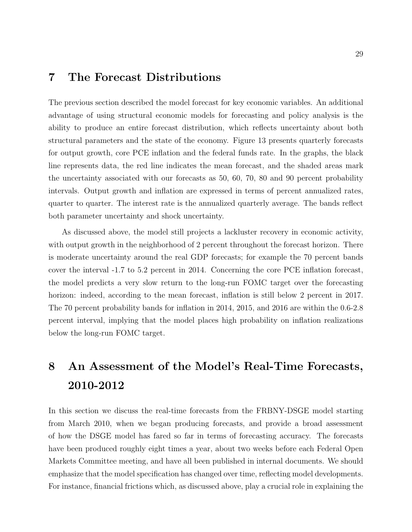### <span id="page-30-0"></span>7 The Forecast Distributions

The previous section described the model forecast for key economic variables. An additional advantage of using structural economic models for forecasting and policy analysis is the ability to produce an entire forecast distribution, which reflects uncertainty about both structural parameters and the state of the economy. Figure [13](#page-50-0) presents quarterly forecasts for output growth, core PCE inflation and the federal funds rate. In the graphs, the black line represents data, the red line indicates the mean forecast, and the shaded areas mark the uncertainty associated with our forecasts as 50, 60, 70, 80 and 90 percent probability intervals. Output growth and inflation are expressed in terms of percent annualized rates, quarter to quarter. The interest rate is the annualized quarterly average. The bands reflect both parameter uncertainty and shock uncertainty.

As discussed above, the model still projects a lackluster recovery in economic activity, with output growth in the neighborhood of 2 percent throughout the forecast horizon. There is moderate uncertainty around the real GDP forecasts; for example the 70 percent bands cover the interval -1.7 to 5.2 percent in 2014. Concerning the core PCE inflation forecast, the model predicts a very slow return to the long-run FOMC target over the forecasting horizon: indeed, according to the mean forecast, inflation is still below 2 percent in 2017. The 70 percent probability bands for inflation in 2014, 2015, and 2016 are within the 0.6-2.8 percent interval, implying that the model places high probability on inflation realizations below the long-run FOMC target.

## <span id="page-30-1"></span>8 An Assessment of the Model's Real-Time Forecasts, 2010-2012

In this section we discuss the real-time forecasts from the FRBNY-DSGE model starting from March 2010, when we began producing forecasts, and provide a broad assessment of how the DSGE model has fared so far in terms of forecasting accuracy. The forecasts have been produced roughly eight times a year, about two weeks before each Federal Open Markets Committee meeting, and have all been published in internal documents. We should emphasize that the model specification has changed over time, reflecting model developments. For instance, financial frictions which, as discussed above, play a crucial role in explaining the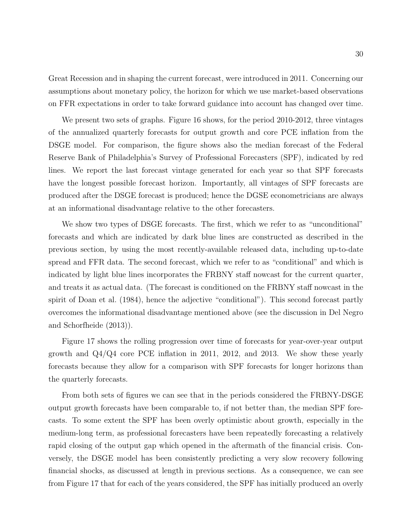Great Recession and in shaping the current forecast, were introduced in 2011. Concerning our assumptions about monetary policy, the horizon for which we use market-based observations on FFR expectations in order to take forward guidance into account has changed over time.

We present two sets of graphs. Figure [16](#page-53-0) shows, for the period 2010-2012, three vintages of the annualized quarterly forecasts for output growth and core PCE inflation from the DSGE model. For comparison, the figure shows also the median forecast of the Federal Reserve Bank of Philadelphia's Survey of Professional Forecasters (SPF), indicated by red lines. We report the last forecast vintage generated for each year so that SPF forecasts have the longest possible forecast horizon. Importantly, all vintages of SPF forecasts are produced after the DSGE forecast is produced; hence the DGSE econometricians are always at an informational disadvantage relative to the other forecasters.

We show two types of DSGE forecasts. The first, which we refer to as "unconditional" forecasts and which are indicated by dark blue lines are constructed as described in the previous section, by using the most recently-available released data, including up-to-date spread and FFR data. The second forecast, which we refer to as "conditional" and which is indicated by light blue lines incorporates the FRBNY staff nowcast for the current quarter, and treats it as actual data. (The forecast is conditioned on the FRBNY staff nowcast in the spirit of [Doan et al.](#page-35-10) [\(1984\)](#page-35-10), hence the adjective "conditional"). This second forecast partly overcomes the informational disadvantage mentioned above (see the discussion in [Del Negro](#page-35-4) [and Schorfheide](#page-35-4) [\(2013\)](#page-35-4)).

Figure [17](#page-54-0) shows the rolling progression over time of forecasts for year-over-year output growth and Q4/Q4 core PCE inflation in 2011, 2012, and 2013. We show these yearly forecasts because they allow for a comparison with SPF forecasts for longer horizons than the quarterly forecasts.

From both sets of figures we can see that in the periods considered the FRBNY-DSGE output growth forecasts have been comparable to, if not better than, the median SPF forecasts. To some extent the SPF has been overly optimistic about growth, especially in the medium-long term, as professional forecasters have been repeatedly forecasting a relatively rapid closing of the output gap which opened in the aftermath of the financial crisis. Conversely, the DSGE model has been consistently predicting a very slow recovery following financial shocks, as discussed at length in previous sections. As a consequence, we can see from Figure [17](#page-54-0) that for each of the years considered, the SPF has initially produced an overly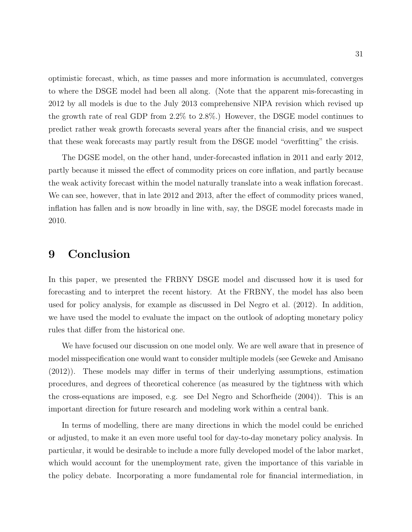optimistic forecast, which, as time passes and more information is accumulated, converges to where the DSGE model had been all along. (Note that the apparent mis-forecasting in 2012 by all models is due to the July 2013 comprehensive NIPA revision which revised up the growth rate of real GDP from 2.2% to 2.8%.) However, the DSGE model continues to predict rather weak growth forecasts several years after the financial crisis, and we suspect that these weak forecasts may partly result from the DSGE model "overfitting" the crisis.

The DGSE model, on the other hand, under-forecasted inflation in 2011 and early 2012, partly because it missed the effect of commodity prices on core inflation, and partly because the weak activity forecast within the model naturally translate into a weak inflation forecast. We can see, however, that in late 2012 and 2013, after the effect of commodity prices waned, inflation has fallen and is now broadly in line with, say, the DSGE model forecasts made in 2010.

## <span id="page-32-0"></span>9 Conclusion

In this paper, we presented the FRBNY DSGE model and discussed how it is used for forecasting and to interpret the recent history. At the FRBNY, the model has also been used for policy analysis, for example as discussed in [Del Negro et al.](#page-35-5) [\(2012\)](#page-35-5). In addition, we have used the model to evaluate the impact on the outlook of adopting monetary policy rules that differ from the historical one.

We have focused our discussion on one model only. We are well aware that in presence of model misspecification one would want to consider multiple models (see [Geweke and Amisano](#page-35-11) [\(2012\)](#page-35-11)). These models may differ in terms of their underlying assumptions, estimation procedures, and degrees of theoretical coherence (as measured by the tightness with which the cross-equations are imposed, e.g. see [Del Negro and Schorfheide](#page-34-10) [\(2004\)](#page-34-10)). This is an important direction for future research and modeling work within a central bank.

In terms of modelling, there are many directions in which the model could be enriched or adjusted, to make it an even more useful tool for day-to-day monetary policy analysis. In particular, it would be desirable to include a more fully developed model of the labor market, which would account for the unemployment rate, given the importance of this variable in the policy debate. Incorporating a more fundamental role for financial intermediation, in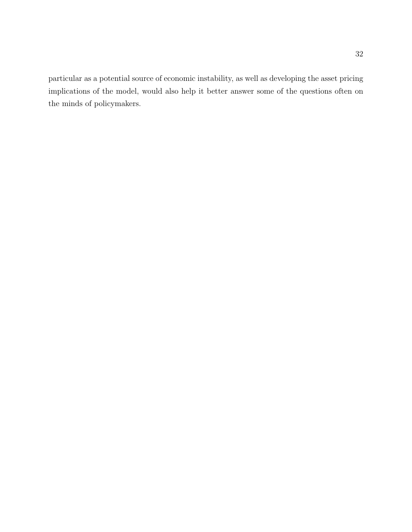particular as a potential source of economic instability, as well as developing the asset pricing implications of the model, would also help it better answer some of the questions often on the minds of policymakers.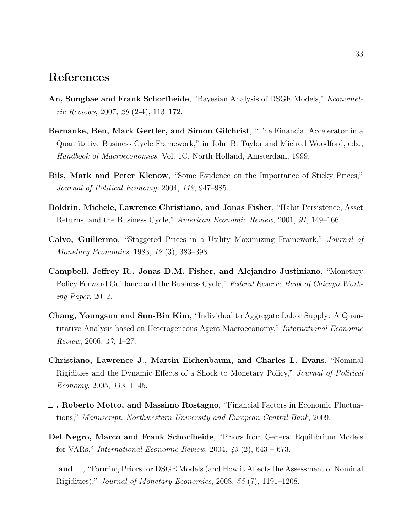### References

- <span id="page-34-3"></span>An, Sungbae and Frank Schorfheide, "Bayesian Analysis of DSGE Models," *Economet*ric Reviews, 2007, 26 (2-4), 113–172.
- <span id="page-34-1"></span>Bernanke, Ben, Mark Gertler, and Simon Gilchrist, "The Financial Accelerator in a Quantitative Business Cycle Framework," in John B. Taylor and Michael Woodford, eds., Handbook of Macroeconomics, Vol. 1C, North Holland, Amsterdam, 1999.
- <span id="page-34-7"></span>Bils, Mark and Peter Klenow, "Some Evidence on the Importance of Sticky Prices," Journal of Political Economy, 2004, 112, 947–985.
- <span id="page-34-8"></span>Boldrin, Michele, Lawrence Christiano, and Jonas Fisher, "Habit Persistence, Asset Returns, and the Business Cycle," American Economic Review, 2001, 91, 149–166.
- <span id="page-34-4"></span>Calvo, Guillermo, "Staggered Prices in a Utility Maximizing Framework," Journal of Monetary Economics, 1983, 12 (3), 383–398.
- <span id="page-34-5"></span>Campbell, Jeffrey R., Jonas D.M. Fisher, and Alejandro Justiniano, "Monetary Policy Forward Guidance and the Business Cycle," Federal Reserve Bank of Chicago Working Paper, 2012.
- <span id="page-34-9"></span>Chang, Youngsun and Sun-Bin Kim, "Individual to Aggregate Labor Supply: A Quantitative Analysis based on Heterogeneous Agent Macroeconomy," International Economic Review, 2006, 47, 1–27.
- <span id="page-34-0"></span>Christiano, Lawrence J., Martin Eichenbaum, and Charles L. Evans, "Nominal Rigidities and the Dynamic Effects of a Shock to Monetary Policy," Journal of Political Economy, 2005, 113, 1–45.
- <span id="page-34-2"></span>, Roberto Motto, and Massimo Rostagno, "Financial Factors in Economic Fluctuations," Manuscript, Northwestern University and European Central Bank, 2009.
- <span id="page-34-10"></span>Del Negro, Marco and Frank Schorfheide, "Priors from General Equilibrium Models for VARs," International Economic Review,  $2004$ ,  $45$  (2),  $643 - 673$ .
- <span id="page-34-6"></span> $\Box$  and  $\Box$ , "Forming Priors for DSGE Models (and How it Affects the Assessment of Nominal Rigidities)," Journal of Monetary Economics, 2008, 55 (7), 1191–1208.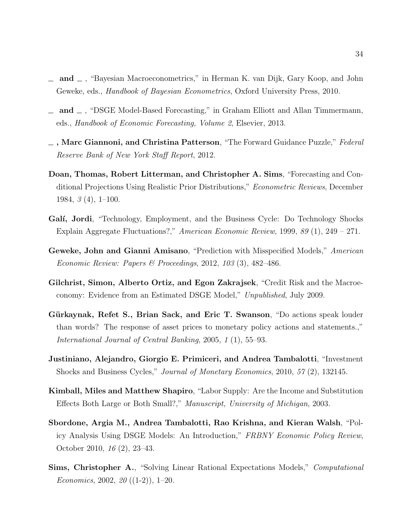- <span id="page-35-0"></span>and  $\Box$ , "Bayesian Macroeconometrics," in Herman K. van Dijk, Gary Koop, and John Geweke, eds., *Handbook of Bayesian Econometrics*, Oxford University Press, 2010.
- <span id="page-35-4"></span> $\Box$  and  $\Box$ , "DSGE Model-Based Forecasting," in Graham Elliott and Allan Timmermann, eds., Handbook of Economic Forecasting, Volume 2, Elsevier, 2013.
- <span id="page-35-5"></span> $\Box$ , Marc Giannoni, and Christina Patterson, "The Forward Guidance Puzzle," Federal Reserve Bank of New York Staff Report, 2012.
- <span id="page-35-10"></span>Doan, Thomas, Robert Litterman, and Christopher A. Sims, "Forecasting and Conditional Projections Using Realistic Prior Distributions," Econometric Reviews, December 1984,  $\beta$  (4), 1-100.
- <span id="page-35-9"></span>Galí, Jordi, "Technology, Employment, and the Business Cycle: Do Technology Shocks Explain Aggregate Fluctuations?," American Economic Review, 1999, 89 (1), 249 – 271.
- <span id="page-35-11"></span>Geweke, John and Gianni Amisano, "Prediction with Misspecified Models," American Economic Review: Papers & Proceedings, 2012, 103 (3), 482–486.
- <span id="page-35-8"></span>Gilchrist, Simon, Alberto Ortiz, and Egon Zakrajsek, "Credit Risk and the Macroeconomy: Evidence from an Estimated DSGE Model," Unpublished, July 2009.
- <span id="page-35-6"></span>Gürkaynak, Refet S., Brian Sack, and Eric T. Swanson, "Do actions speak louder than words? The response of asset prices to monetary policy actions and statements.," International Journal of Central Banking, 2005, 1 (1), 55–93.
- <span id="page-35-2"></span>Justiniano, Alejandro, Giorgio E. Primiceri, and Andrea Tambalotti, "Investment Shocks and Business Cycles," Journal of Monetary Economics, 2010, 57 (2), 132145.
- <span id="page-35-7"></span>Kimball, Miles and Matthew Shapiro, "Labor Supply: Are the Income and Substitution Effects Both Large or Both Small?," Manuscript, University of Michigan, 2003.
- <span id="page-35-1"></span>Sbordone, Argia M., Andrea Tambalotti, Rao Krishna, and Kieran Walsh, "Policy Analysis Using DSGE Models: An Introduction," FRBNY Economic Policy Review, October 2010, 16 (2), 23–43.
- <span id="page-35-3"></span>Sims, Christopher A., "Solving Linear Rational Expectations Models," Computational Economics, 2002, 20  $((1-2))$ , 1-20.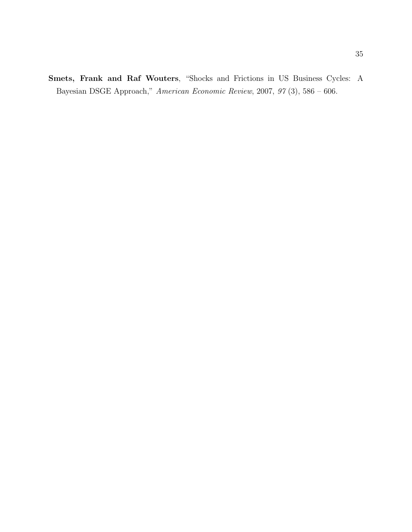<span id="page-36-1"></span><span id="page-36-0"></span>Smets, Frank and Raf Wouters, "Shocks and Frictions in US Business Cycles: A Bayesian DSGE Approach," American Economic Review, 2007, 97 (3), 586 – 606.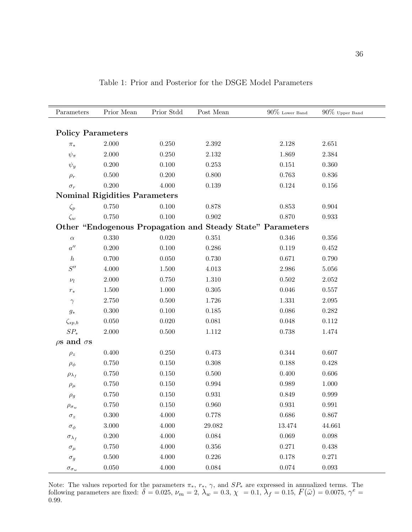| Parameters                                                 | Prior Mean | Prior Stdd | Post Mean   | $90\%$ Lower Band | $90\%$ Upper Band |  |  |  |  |
|------------------------------------------------------------|------------|------------|-------------|-------------------|-------------------|--|--|--|--|
|                                                            |            |            |             |                   |                   |  |  |  |  |
| <b>Policy Parameters</b>                                   |            |            |             |                   |                   |  |  |  |  |
| $\pi_*$                                                    | $2.000\,$  | 0.250      | $2.392\,$   | $2.128\,$         | 2.651             |  |  |  |  |
| $\psi_\pi$                                                 | 2.000      | 0.250      | $2.132\,$   | 1.869             | 2.384             |  |  |  |  |
| $\psi_y$                                                   | 0.200      | 0.100      | 0.253       | $0.151\,$         | 0.360             |  |  |  |  |
| $\rho_r$                                                   | 0.500      | 0.200      | 0.800       | 0.763             | $0.836\,$         |  |  |  |  |
| $\sigma_r$                                                 | 0.200      | 4.000      | 0.139       | 0.124             | $0.156\,$         |  |  |  |  |
| <b>Nominal Rigidities Parameters</b>                       |            |            |             |                   |                   |  |  |  |  |
| $\zeta_p$                                                  | 0.750      | 0.100      | 0.878       | 0.853             | $\,0.904\,$       |  |  |  |  |
| $\zeta_w$                                                  | 0.750      | 0.100      | $\,0.902\,$ | 0.870             | 0.933             |  |  |  |  |
| Other "Endogenous Propagation and Steady State" Parameters |            |            |             |                   |                   |  |  |  |  |
| $\alpha$                                                   | 0.330      | 0.020      | $0.351\,$   | 0.346             | $0.356\,$         |  |  |  |  |
| $a^{\prime\prime}$                                         | 0.200      | 0.100      | 0.286       | 0.119             | $0.452\,$         |  |  |  |  |
| $\boldsymbol{h}$                                           | 0.700      | 0.050      | 0.730       | 0.671             | 0.790             |  |  |  |  |
| $S^{\prime\prime}$                                         | 4.000      | 1.500      | 4.013       | 2.986             | $5.056\,$         |  |  |  |  |
| $\nu_l$                                                    | $2.000\,$  | 0.750      | $1.310\,$   | $0.502\,$         | $2.052\,$         |  |  |  |  |
| $r_\ast$                                                   | 1.500      | 1.000      | $0.305\,$   | 0.046             | 0.557             |  |  |  |  |
| $\gamma$                                                   | 2.750      | 0.500      | 1.726       | 1.331             | $\;\:2.095$       |  |  |  |  |
| $g_*$                                                      | 0.300      | 0.100      | 0.185       | 0.086             | 0.282             |  |  |  |  |
| $\zeta_{sp,b}$                                             | 0.050      | 0.020      | 0.081       | 0.048             | $0.112\,$         |  |  |  |  |
| $SP_*$                                                     | 2.000      | 0.500      | 1.112       | 0.738             | 1.474             |  |  |  |  |
| $\rho s$ and $\sigma s$                                    |            |            |             |                   |                   |  |  |  |  |
| $\rho_z$                                                   | $0.400\,$  | 0.250      | 0.473       | $\,0.344\,$       | $0.607\,$         |  |  |  |  |
| $\rho_{\phi}$                                              | 0.750      | 0.150      | 0.308       | 0.188             | 0.428             |  |  |  |  |
| $\rho_{\lambda_f}$                                         | 0.750      | 0.150      | 0.500       | 0.400             | 0.606             |  |  |  |  |
| $\rho_\mu$                                                 | 0.750      | 0.150      | 0.994       | 0.989             | 1.000             |  |  |  |  |
| $\rho_g$                                                   | 0.750      | 0.150      | 0.931       | 0.849             | 0.999             |  |  |  |  |
| $\rho_{\sigma_w}$                                          | $0.750\,$  | $0.150\,$  | 0.960       | $\,0.931\,$       | $\,0.991\,$       |  |  |  |  |
| $\sigma_z$                                                 | 0.300      | 4.000      | 0.778       | $0.686\,$         | 0.867             |  |  |  |  |
| $\sigma_{\phi}$                                            | $3.000\,$  | 4.000      | 29.082      | 13.474            | 44.661            |  |  |  |  |
| $\sigma_{\lambda_f}$                                       | $0.200\,$  | 4.000      | $\,0.084\,$ | 0.069             | 0.098             |  |  |  |  |
| $\sigma_{\mu}$                                             | $0.750\,$  | 4.000      | $0.356\,$   | 0.271             | 0.438             |  |  |  |  |
| $\sigma_g$                                                 | $0.500\,$  | 4.000      | 0.226       | 0.178             | 0.271             |  |  |  |  |
| $\sigma_{\sigma_w}$                                        | $0.050\,$  | 4.000      | $\,0.084\,$ | $0.074\,$         | $\,0.093\,$       |  |  |  |  |

<span id="page-37-0"></span>Table 1: Prior and Posterior for the DSGE Model Parameters

Note: The values reported for the parameters  $\pi_*, r_*, \gamma$ , and  $SP_*$  are expressed in annualized terms. The following parameters are fixed:  $\delta = 0.025$ ,  $\nu_m = 2$ ,  $\lambda_w = 0.3$ ,  $\chi' = 0.1$ ,  $\lambda_f = 0.15$ ,  $F(\bar{\omega}) = 0.0075$ ,  $\gamma^e =$ 0.99.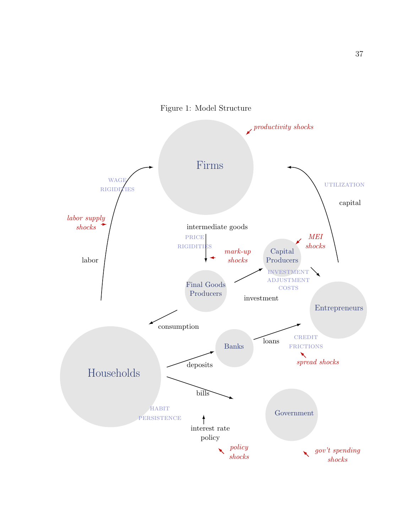<span id="page-38-1"></span>

<span id="page-38-0"></span>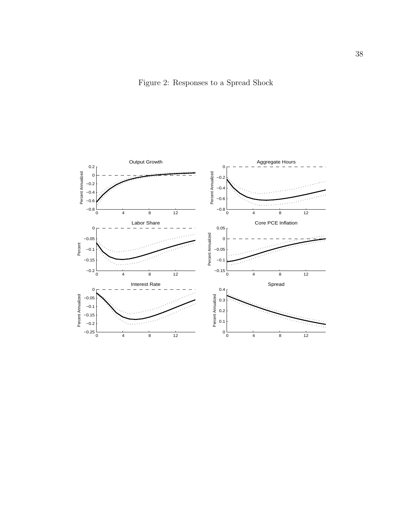<span id="page-39-0"></span>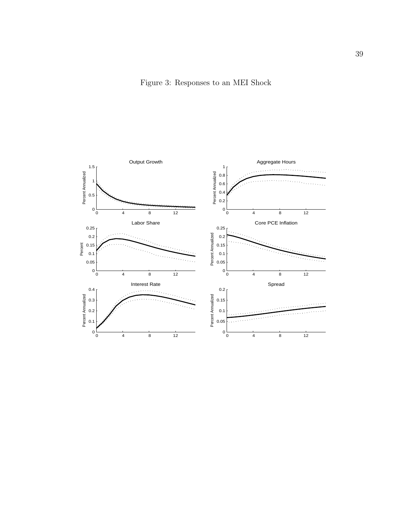<span id="page-40-0"></span>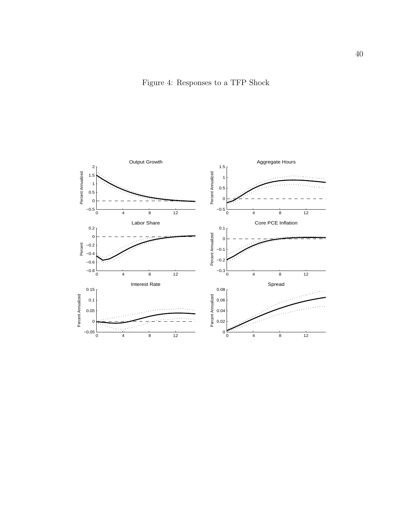<span id="page-41-0"></span>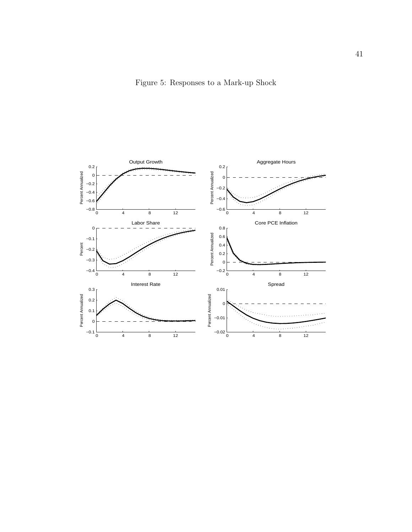<span id="page-42-0"></span>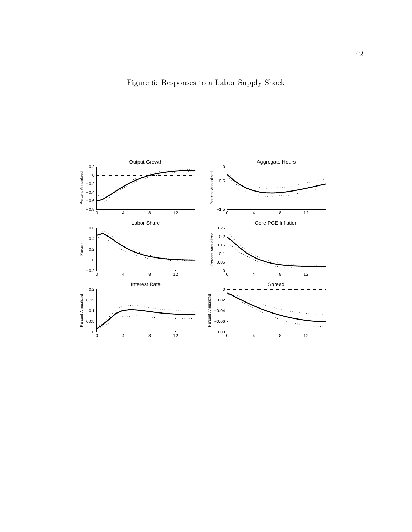<span id="page-43-0"></span>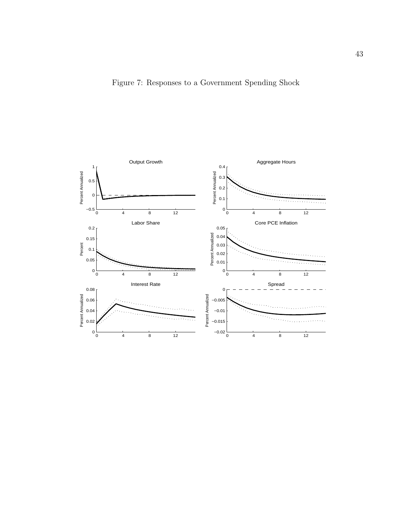<span id="page-44-0"></span>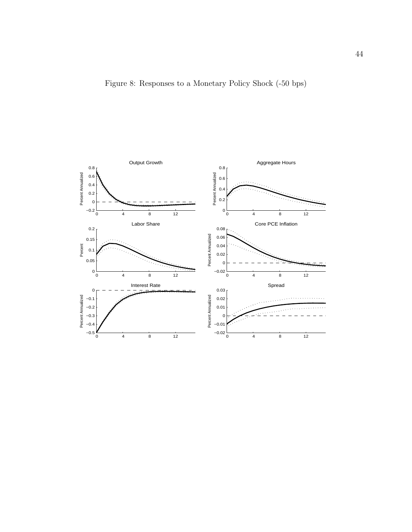<span id="page-45-0"></span>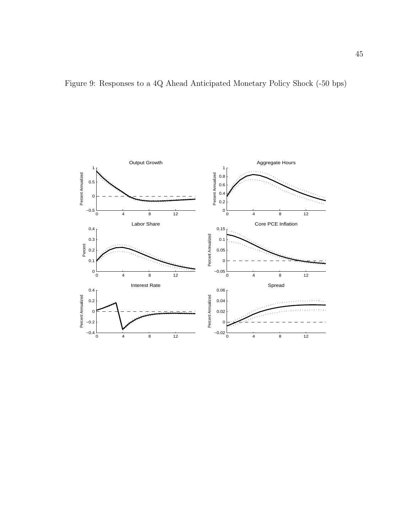<span id="page-46-0"></span>

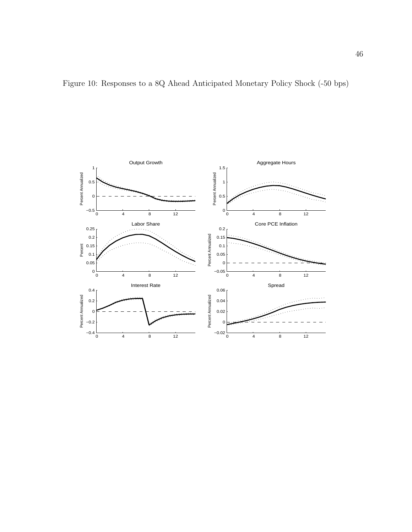<span id="page-47-0"></span>

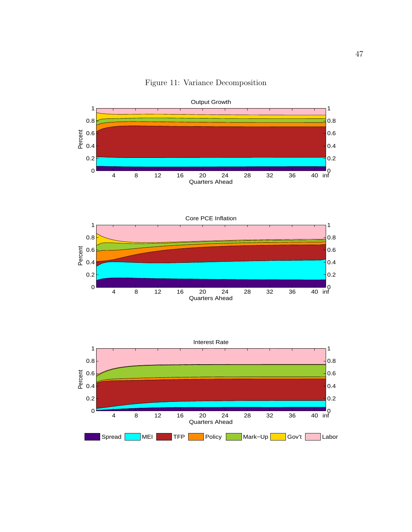<span id="page-48-0"></span>

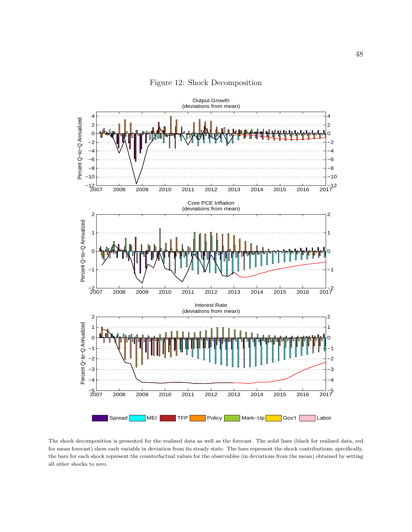<span id="page-49-0"></span>



The shock decomposition is presented for the realized data as well as the forecast. The solid lines (black for realized data, red for mean forecast) show each variable in deviation from its steady state. The bars represent the shock contributions; specifically, the bars for each shock represent the counterfactual values for the observables (in deviations from the mean) obtained by setting all other shocks to zero.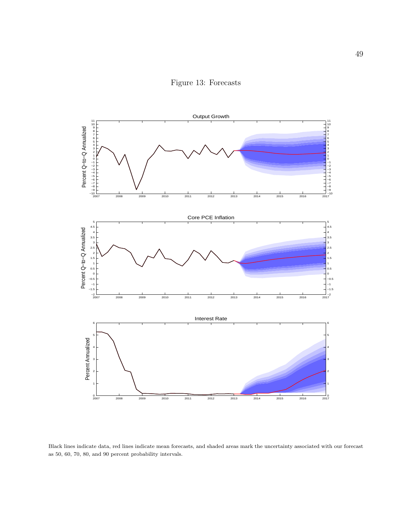<span id="page-50-0"></span>Figure 13: Forecasts



Black lines indicate data, red lines indicate mean forecasts, and shaded areas mark the uncertainty associated with our forecast as 50, 60, 70, 80, and 90 percent probability intervals.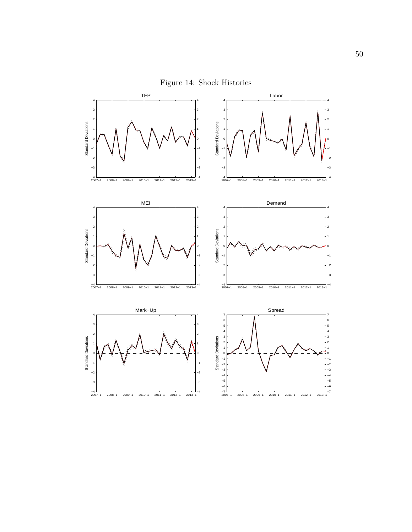<span id="page-51-0"></span>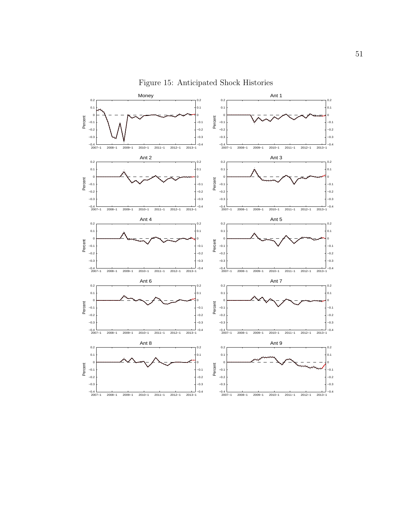

Figure 15: Anticipated Shock Histories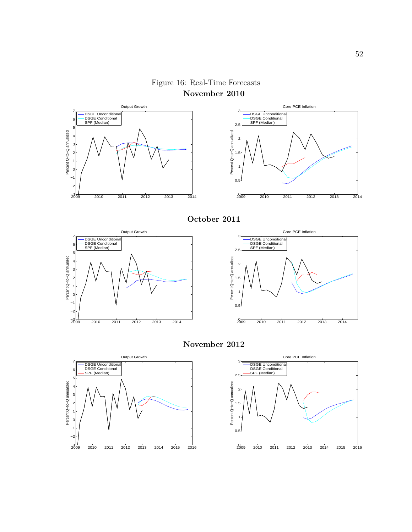

<span id="page-53-0"></span>Figure 16: Real-Time Forecasts November 2010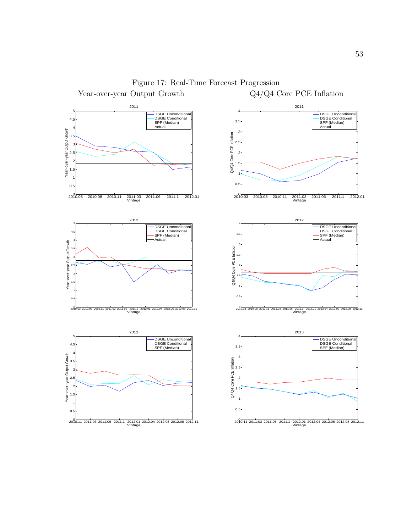

<span id="page-54-0"></span>Figure 17: Real-Time Forecast Progression